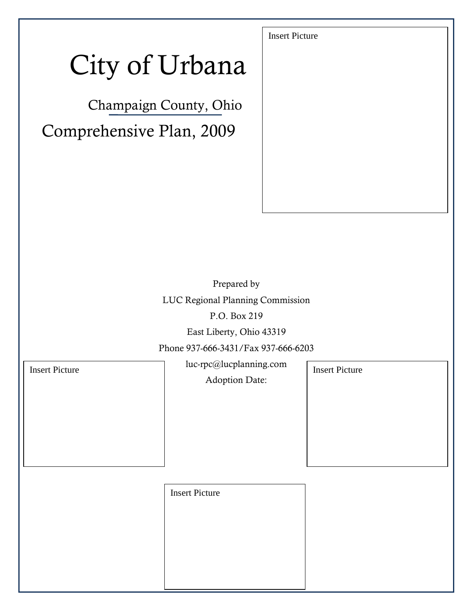# City of Urbana

Champaign County, Ohio Comprehensive Plan, 2009

Prepared by

LUC Regional Planning Commission

P.O. Box 219

East Liberty, Ohio 43319

Phone 937-666-3431/Fax 937-666-6203

luc-rpc@lucplanning.com Insert Picture and Insert Picture Insert Picture

Adoption Date:

Insert Picture

Insert Picture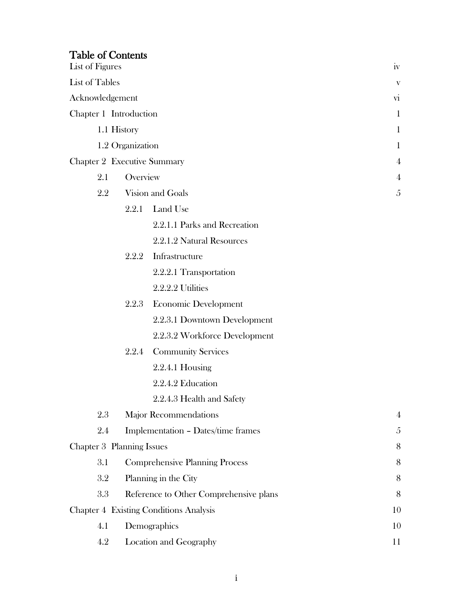| <b>Table of Contents</b><br>List of Figures |          |                                               | 1V                     |
|---------------------------------------------|----------|-----------------------------------------------|------------------------|
| <b>List of Tables</b>                       |          |                                               | $\mathbf{V}$           |
| Acknowledgement                             |          |                                               | $\overline{\text{vi}}$ |
| Chapter 1 Introduction                      |          |                                               | $\mathbf{1}$           |
| 1.1 History                                 |          |                                               | $\mathbf{1}$           |
| 1.2 Organization                            |          |                                               | $\mathbf{1}$           |
| <b>Chapter 2 Executive Summary</b>          |          |                                               | $\overline{4}$         |
| 2.1                                         | Overview |                                               | 4                      |
| 2.2                                         |          | Vision and Goals                              | 5                      |
|                                             | 2.2.1    | Land Use                                      |                        |
|                                             |          | 2.2.1.1 Parks and Recreation                  |                        |
|                                             |          | 2.2.1.2 Natural Resources                     |                        |
|                                             |          | 2.2.2 Infrastructure                          |                        |
|                                             |          | 2.2.2.1 Transportation                        |                        |
|                                             |          | 2.2.2.2 Utilities                             |                        |
|                                             | 2.2.3    | <b>Economic Development</b>                   |                        |
|                                             |          | 2.2.3.1 Downtown Development                  |                        |
|                                             |          | 2.2.3.2 Workforce Development                 |                        |
|                                             | 2.2.4    | <b>Community Services</b>                     |                        |
|                                             |          | $2.2.4.1$ Housing                             |                        |
|                                             |          | 2.2.4.2 Education                             |                        |
|                                             |          | 2.2.4.3 Health and Safety                     |                        |
| 2.3                                         |          | <b>Major Recommendations</b>                  | $\overline{4}$         |
| 2.4                                         |          | Implementation - Dates/time frames            | 5                      |
| Chapter 3 Planning Issues                   |          |                                               | 8                      |
| 3.1                                         |          | <b>Comprehensive Planning Process</b>         | 8                      |
| 3.2                                         |          | Planning in the City                          | 8                      |
| 3.3                                         |          | Reference to Other Comprehensive plans        | 8                      |
|                                             |          | <b>Chapter 4 Existing Conditions Analysis</b> | 10                     |
| 4.1                                         |          | Demographics                                  | 10                     |
| 4.2                                         |          | Location and Geography                        | 11                     |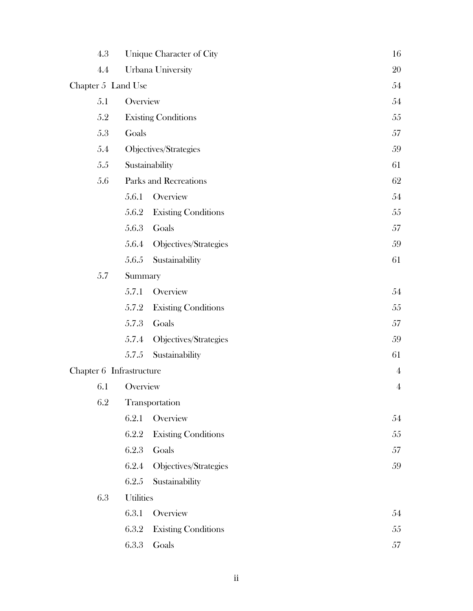| 4.3                      |                  | Unique Character of City   | 16             |
|--------------------------|------------------|----------------------------|----------------|
| 4.4                      |                  | Urbana University          | 20             |
| Chapter 5 Land Use       |                  |                            | 54             |
| 5.1                      | Overview         |                            | 54             |
| 5.2                      |                  | <b>Existing Conditions</b> | 55             |
| 5.3                      | Goals            |                            | 57             |
| 5.4                      |                  | Objectives/Strategies      | 59             |
| 5.5                      |                  | Sustainability             | 61             |
| 5.6                      |                  | Parks and Recreations      | 62             |
|                          | 5.6.1            | Overview                   | 54             |
|                          | 5.6.2            | <b>Existing Conditions</b> | 55             |
|                          | 5.6.3            | Goals                      | 57             |
|                          | 5.6.4            | Objectives/Strategies      | 59             |
|                          | 5.6.5            | Sustainability             | 61             |
| 5.7<br>Summary           |                  |                            |                |
|                          | 5.7.1            | Overview                   | 54             |
|                          | 5.7.2            | <b>Existing Conditions</b> | 55             |
|                          | 5.7.3            | Goals                      | 57             |
|                          | 5.7.4            | Objectives/Strategies      | 59             |
|                          | 5.7.5            | Sustainability             | 61             |
| Chapter 6 Infrastructure |                  |                            | $\overline{4}$ |
| 6.1                      | Overview         |                            | $\overline{4}$ |
| 6.2                      |                  | Transportation             |                |
|                          | 6.2.1            | Overview                   | 54             |
|                          | 6.2.2            | <b>Existing Conditions</b> | 55             |
|                          | 6.2.3            | Goals                      | 57             |
|                          | 6.2.4            | Objectives/Strategies      | 59             |
|                          | 6.2.5            | Sustainability             |                |
| 6.3                      | <b>Utilities</b> |                            |                |
|                          | 6.3.1            | Overview                   | 54             |
|                          | 6.3.2            | <b>Existing Conditions</b> | 55             |
|                          | 6.3.3            | Goals                      | 57             |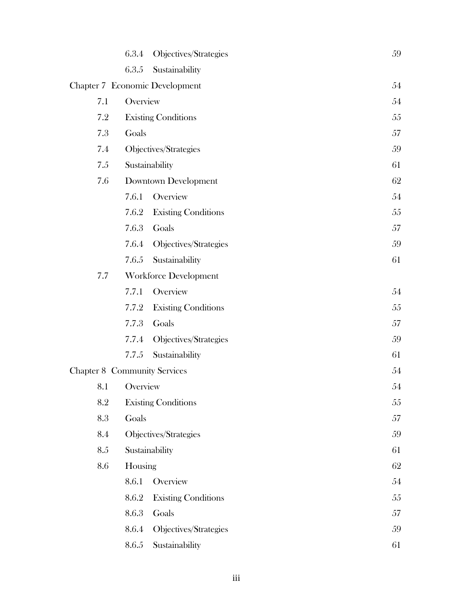|                                     | 6.3.4    | Objectives/Strategies          | 59 |
|-------------------------------------|----------|--------------------------------|----|
|                                     | 6.3.5    | Sustainability                 |    |
|                                     |          | Chapter 7 Economic Development | 54 |
| 7.1                                 | Overview |                                | 54 |
| 7.2                                 |          | <b>Existing Conditions</b>     | 55 |
| 7.3                                 | Goals    |                                | 57 |
| 7.4                                 |          | Objectives/Strategies          | 59 |
| 7.5                                 |          | Sustainability                 | 61 |
| 7.6                                 |          | <b>Downtown Development</b>    | 62 |
|                                     | 7.6.1    | Overview                       | 54 |
|                                     | 7.6.2    | <b>Existing Conditions</b>     | 55 |
|                                     | 7.6.3    | Goals                          | 57 |
|                                     | 7.6.4    | Objectives/Strategies          | 59 |
|                                     | 7.6.5    | Sustainability                 | 61 |
| 7.7                                 |          | <b>Workforce Development</b>   |    |
|                                     | 7.7.1    | Overview                       | 54 |
|                                     | 7.7.2    | <b>Existing Conditions</b>     | 55 |
|                                     | 7.7.3    | Goals                          | 57 |
|                                     | 7.7.4    | Objectives/Strategies          | 59 |
|                                     | 7.7.5    | Sustainability                 | 61 |
| <b>Chapter 8 Community Services</b> |          |                                | 54 |
| 8.1                                 | Overview |                                | 54 |
| 8.2                                 |          | <b>Existing Conditions</b>     | 55 |
| 8.3                                 | Goals    |                                | 57 |
| 8.4                                 |          | Objectives/Strategies          | 59 |
| 8.5                                 |          | Sustainability                 | 61 |
| 8.6                                 | Housing  |                                | 62 |
|                                     | 8.6.1    | Overview                       | 54 |
|                                     | 8.6.2    | <b>Existing Conditions</b>     | 55 |
|                                     | 8.6.3    | Goals                          | 57 |
|                                     | 8.6.4    | Objectives/Strategies          | 59 |
|                                     | 8.6.5    | Sustainability                 | 61 |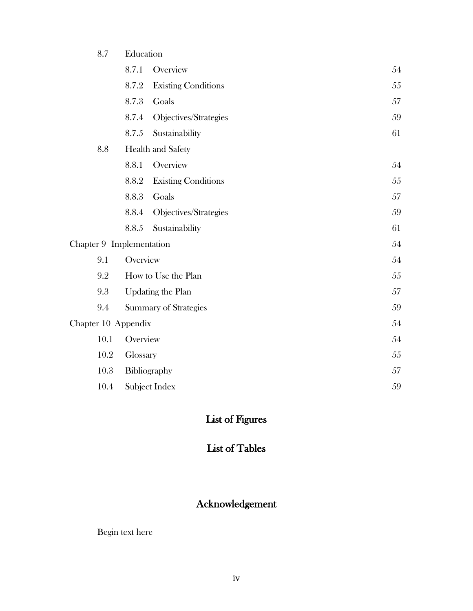#### 8.7 Education

|                          | 8.7.1         | Overview                     | 54 |
|--------------------------|---------------|------------------------------|----|
|                          | 8.7.2         | <b>Existing Conditions</b>   | 55 |
|                          | 8.7.3         | Goals                        | 57 |
|                          | 8.7.4         | Objectives/Strategies        | 59 |
|                          | 8.7.5         | Sustainability               | 61 |
| 8.8                      |               | Health and Safety            |    |
|                          | 8.8.1         | Overview                     | 54 |
|                          | 8.8.2         | <b>Existing Conditions</b>   | 55 |
|                          | 8.8.3         | Goals                        | 57 |
|                          | 8.8.4         | Objectives/Strategies        | 59 |
|                          | 8.8.5         | Sustainability               | 61 |
| Chapter 9 Implementation |               |                              | 54 |
| 9.1                      | Overview      |                              | 54 |
| 9.2                      |               | How to Use the Plan          | 55 |
| 9.3                      |               | <b>Updating the Plan</b>     | 57 |
| 9.4                      |               | <b>Summary of Strategies</b> | 59 |
| Chapter 10 Appendix      |               |                              | 54 |
| 10.1                     | Overview      |                              | 54 |
| 10.2                     | Glossary      |                              | 55 |
| 10.3                     | Bibliography  |                              | 57 |
| 10.4                     | Subject Index |                              | 59 |

# List of Figures

# List of Tables

# Acknowledgement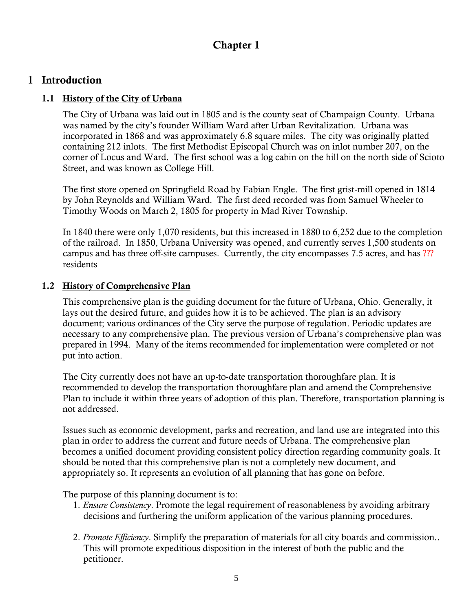## **Chapter 1**

#### **1 Introduction**

#### **1.1 History of the City of Urbana**

The City of Urbana was laid out in 1805 and is the county seat of Champaign County. Urbana was named by the city's founder William Ward after Urban Revitalization. Urbana was incorporated in 1868 and was approximately 6.8 square miles. The city was originally platted containing 212 inlots. The first Methodist Episcopal Church was on inlot number 207, on the corner of Locus and Ward. The first school was a log cabin on the hill on the north side of Scioto Street, and was known as College Hill.

The first store opened on Springfield Road by Fabian Engle. The first grist-mill opened in 1814 by John Reynolds and William Ward. The first deed recorded was from Samuel Wheeler to Timothy Woods on March 2, 1805 for property in Mad River Township.

In 1840 there were only 1,070 residents, but this increased in 1880 to 6,252 due to the completion of the railroad. In 1850, Urbana University was opened, and currently serves 1,500 students on campus and has three off-site campuses. Currently, the city encompasses 7.5 acres, and has ??? residents

#### **1.2 History of Comprehensive Plan**

This comprehensive plan is the guiding document for the future of Urbana, Ohio. Generally, it lays out the desired future, and guides how it is to be achieved. The plan is an advisory document; various ordinances of the City serve the purpose of regulation. Periodic updates are necessary to any comprehensive plan. The previous version of Urbana's comprehensive plan was prepared in 1994. Many of the items recommended for implementation were completed or not put into action.

The City currently does not have an up-to-date transportation thoroughfare plan. It is recommended to develop the transportation thoroughfare plan and amend the Comprehensive Plan to include it within three years of adoption of this plan. Therefore, transportation planning is not addressed.

Issues such as economic development, parks and recreation, and land use are integrated into this plan in order to address the current and future needs of Urbana. The comprehensive plan becomes a unified document providing consistent policy direction regarding community goals. It should be noted that this comprehensive plan is not a completely new document, and appropriately so. It represents an evolution of all planning that has gone on before.

The purpose of this planning document is to:

- 1. *Ensure Consistency*. Promote the legal requirement of reasonableness by avoiding arbitrary decisions and furthering the uniform application of the various planning procedures.
- 2. *Promote Efficiency*. Simplify the preparation of materials for all city boards and commission.. This will promote expeditious disposition in the interest of both the public and the petitioner.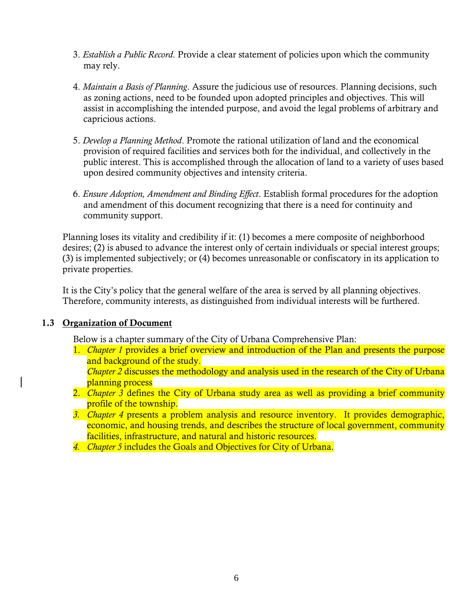- 3. *Establish a Public Record*. Provide a clear statement of policies upon which the community may rely.
- 4. *Maintain a Basis of Planning*. Assure the judicious use of resources. Planning decisions, such as zoning actions, need to be founded upon adopted principles and objectives. This will assist in accomplishing the intended purpose, and avoid the legal problems of arbitrary and capricious actions.
- 5. *Develop a Planning Method*. Promote the rational utilization of land and the economical provision of required facilities and services both for the individual, and collectively in the public interest. This is accomplished through the allocation of land to a variety of uses based upon desired community objectives and intensity criteria.
- 6. *Ensure Adoption, Amendment and Binding Effect*. Establish formal procedures for the adoption and amendment of this document recognizing that there is a need for continuity and community support.

Planning loses its vitality and credibility if it: (1) becomes a mere composite of neighborhood desires; (2) is abused to advance the interest only of certain individuals or special interest groups; (3) is implemented subjectively; or (4) becomes unreasonable or confiscatory in its application to private properties.

It is the City's policy that the general welfare of the area is served by all planning objectives. Therefore, community interests, as distinguished from individual interests will be furthered.

#### **1.3 Organization of Document**

Below is a chapter summary of the City of Urbana Comprehensive Plan:

1. *Chapter 1* provides a brief overview and introduction of the Plan and presents the purpose and background of the study.

*Chapter 2* discusses the methodology and analysis used in the research of the City of Urbana planning process

- 2. *Chapter 3* defines the City of Urbana study area as well as providing a brief community profile of the township.
- *3. Chapter 4* presents a problem analysis and resource inventory. It provides demographic, economic, and housing trends, and describes the structure of local government, community facilities, infrastructure, and natural and historic resources.
- *4. Chapter 5* includes the Goals and Objectives for City of Urbana.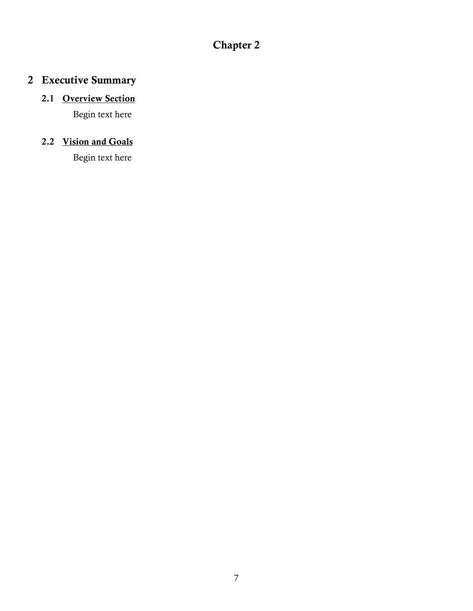# **Chapter 2**

# **2 Executive Summary**

## **2.1 Overview Section**

Begin text here

## **2.2 Vision and Goals**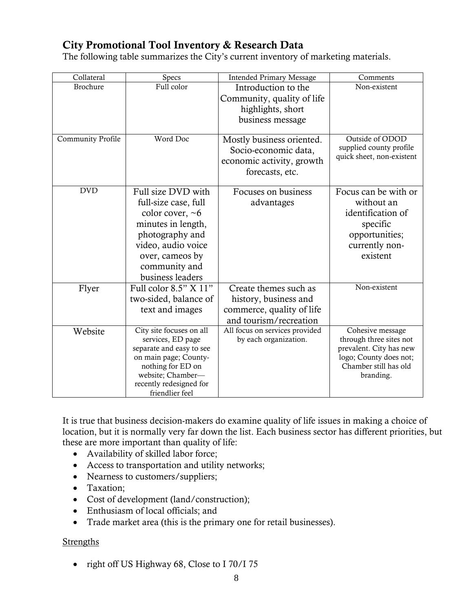## **City Promotional Tool Inventory & Research Data**

The following table summarizes the City's current inventory of marketing materials.

| Collateral        | Specs                                             | <b>Intended Primary Message</b> | Comments                                          |
|-------------------|---------------------------------------------------|---------------------------------|---------------------------------------------------|
| <b>Brochure</b>   | Full color                                        | Introduction to the             | Non-existent                                      |
|                   |                                                   | Community, quality of life      |                                                   |
|                   |                                                   | highlights, short               |                                                   |
|                   |                                                   | business message                |                                                   |
|                   |                                                   |                                 |                                                   |
| Community Profile | Word Doc                                          | Mostly business oriented.       | Outside of ODOD<br>supplied county profile        |
|                   |                                                   | Socio-economic data,            | quick sheet, non-existent                         |
|                   |                                                   | economic activity, growth       |                                                   |
|                   |                                                   | forecasts, etc.                 |                                                   |
| <b>DVD</b>        | Full size DVD with                                | Focuses on business             | Focus can be with or                              |
|                   | full-size case, full                              | advantages                      | without an                                        |
|                   | color cover, $~6$                                 |                                 | identification of                                 |
|                   | minutes in length,                                |                                 | specific                                          |
|                   | photography and                                   |                                 | opportunities;                                    |
|                   | video, audio voice                                |                                 | currently non-                                    |
|                   | over, cameos by                                   |                                 | existent                                          |
|                   | community and                                     |                                 |                                                   |
|                   | business leaders                                  |                                 |                                                   |
| Flyer             | Full color $8.5"$ X $11"$                         | Create themes such as           | Non-existent                                      |
|                   | two-sided, balance of                             | history, business and           |                                                   |
|                   | text and images                                   | commerce, quality of life       |                                                   |
|                   |                                                   | and tourism/recreation          |                                                   |
| Website           | City site focuses on all                          | All focus on services provided  | Cohesive message                                  |
|                   | services, ED page                                 | by each organization.           | through three sites not                           |
|                   | separate and easy to see<br>on main page; County- |                                 | prevalent. City has new<br>logo; County does not; |
|                   | nothing for ED on                                 |                                 | Chamber still has old                             |
|                   | website; Chamber-                                 |                                 | branding.                                         |
|                   | recently redesigned for                           |                                 |                                                   |
|                   | friendlier feel                                   |                                 |                                                   |

It is true that business decision-makers do examine quality of life issues in making a choice of location, but it is normally very far down the list. Each business sector has different priorities, but these are more important than quality of life:

- Availability of skilled labor force;
- Access to transportation and utility networks;
- Nearness to customers/suppliers;
- Taxation;
- Cost of development (land/construction);
- Enthusiasm of local officials; and
- Trade market area (this is the primary one for retail businesses).

#### **Strengths**

• right off US Highway 68, Close to I 70/I 75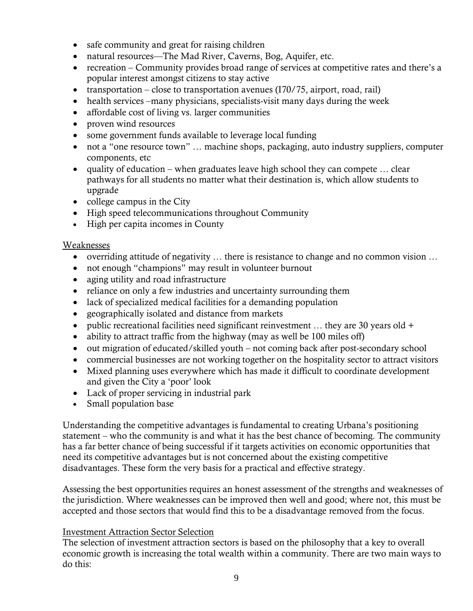- safe community and great for raising children
- natural resources—The Mad River, Caverns, Bog, Aquifer, etc.
- recreation Community provides broad range of services at competitive rates and there's a popular interest amongst citizens to stay active
- transportation close to transportation avenues  $(170/75,$  airport, road, rail)
- health services –many physicians, specialists-visit many days during the week
- affordable cost of living vs. larger communities
- proven wind resources
- some government funds available to leverage local funding
- not a "one resource town" ... machine shops, packaging, auto industry suppliers, computer components, etc
- quality of education when graduates leave high school they can compete  $\dots$  clear pathways for all students no matter what their destination is, which allow students to upgrade
- college campus in the City
- High speed telecommunications throughout Community
- High per capita incomes in County

#### Weaknesses

- overriding attitude of negativity … there is resistance to change and no common vision …
- not enough "champions" may result in volunteer burnout
- aging utility and road infrastructure
- reliance on only a few industries and uncertainty surrounding them
- lack of specialized medical facilities for a demanding population
- geographically isolated and distance from markets
- public recreational facilities need significant reinvestment  $\ldots$  they are 30 years old +
- ability to attract traffic from the highway (may as well be 100 miles off)
- out migration of educated/skilled youth not coming back after post-secondary school
- commercial businesses are not working together on the hospitality sector to attract visitors
- Mixed planning uses everywhere which has made it difficult to coordinate development and given the City a 'poor' look
- Lack of proper servicing in industrial park
- Small population base

Understanding the competitive advantages is fundamental to creating Urbana's positioning statement – who the community is and what it has the best chance of becoming. The community has a far better chance of being successful if it targets activities on economic opportunities that need its competitive advantages but is not concerned about the existing competitive disadvantages. These form the very basis for a practical and effective strategy.

Assessing the best opportunities requires an honest assessment of the strengths and weaknesses of the jurisdiction. Where weaknesses can be improved then well and good; where not, this must be accepted and those sectors that would find this to be a disadvantage removed from the focus.

#### Investment Attraction Sector Selection

The selection of investment attraction sectors is based on the philosophy that a key to overall economic growth is increasing the total wealth within a community. There are two main ways to do this: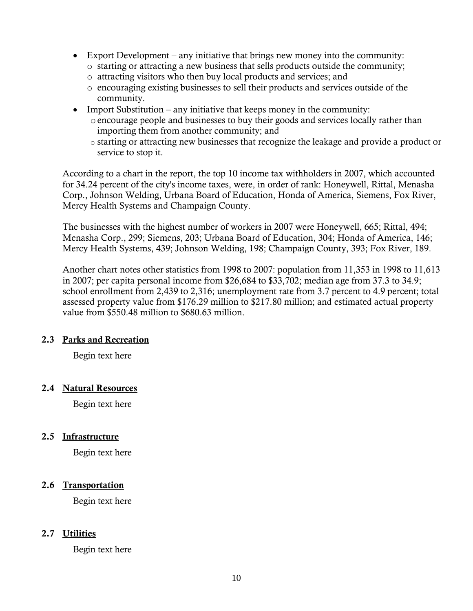- Export Development any initiative that brings new money into the community:
	- o starting or attracting a new business that sells products outside the community;
	- o attracting visitors who then buy local products and services; and
	- o encouraging existing businesses to sell their products and services outside of the community.
- Import Substitution any initiative that keeps money in the community:
	- oencourage people and businesses to buy their goods and services locally rather than importing them from another community; and
	- o starting or attracting new businesses that recognize the leakage and provide a product or service to stop it.

According to a chart in the report, the top 10 income tax withholders in 2007, which accounted for 34.24 percent of the city's income taxes, were, in order of rank: Honeywell, Rittal, Menasha Corp., Johnson Welding, Urbana Board of Education, Honda of America, Siemens, Fox River, Mercy Health Systems and Champaign County.

The businesses with the highest number of workers in 2007 were Honeywell, 665; Rittal, 494; Menasha Corp., 299; Siemens, 203; Urbana Board of Education, 304; Honda of America, 146; Mercy Health Systems, 439; Johnson Welding, 198; Champaign County, 393; Fox River, 189.

Another chart notes other statistics from 1998 to 2007: population from 11,353 in 1998 to 11,613 in 2007; per capita personal income from \$26,684 to \$33,702; median age from 37.3 to 34.9; school enrollment from 2,439 to 2,316; unemployment rate from 3.7 percent to 4.9 percent; total assessed property value from \$176.29 million to \$217.80 million; and estimated actual property value from \$550.48 million to \$680.63 million.

#### **2.3 Parks and Recreation**

Begin text here

#### **2.4 Natural Resources**

Begin text here

#### **2.5 Infrastructure**

Begin text here

#### **2.6 Transportation**

Begin text here

#### **2.7 Utilities**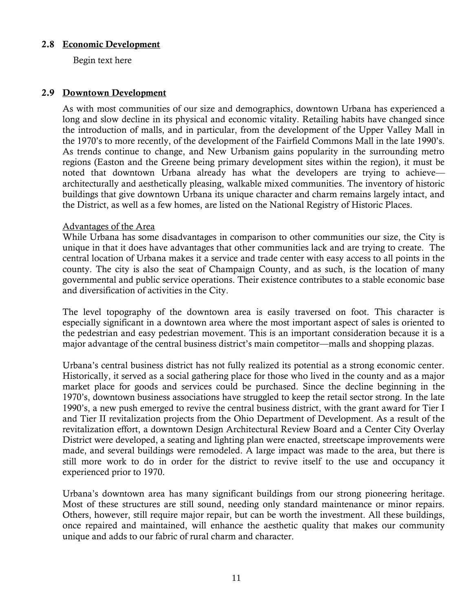#### **2.8 Economic Development**

Begin text here

#### **2.9 Downtown Development**

As with most communities of our size and demographics, downtown Urbana has experienced a long and slow decline in its physical and economic vitality. Retailing habits have changed since the introduction of malls, and in particular, from the development of the Upper Valley Mall in the 1970's to more recently, of the development of the Fairfield Commons Mall in the late 1990's. As trends continue to change, and New Urbanism gains popularity in the surrounding metro regions (Easton and the Greene being primary development sites within the region), it must be noted that downtown Urbana already has what the developers are trying to achieve architecturally and aesthetically pleasing, walkable mixed communities. The inventory of historic buildings that give downtown Urbana its unique character and charm remains largely intact, and the District, as well as a few homes, are listed on the National Registry of Historic Places.

#### Advantages of the Area

While Urbana has some disadvantages in comparison to other communities our size, the City is unique in that it does have advantages that other communities lack and are trying to create. The central location of Urbana makes it a service and trade center with easy access to all points in the county. The city is also the seat of Champaign County, and as such, is the location of many governmental and public service operations. Their existence contributes to a stable economic base and diversification of activities in the City.

The level topography of the downtown area is easily traversed on foot. This character is especially significant in a downtown area where the most important aspect of sales is oriented to the pedestrian and easy pedestrian movement. This is an important consideration because it is a major advantage of the central business district's main competitor—malls and shopping plazas.

Urbana's central business district has not fully realized its potential as a strong economic center. Historically, it served as a social gathering place for those who lived in the county and as a major market place for goods and services could be purchased. Since the decline beginning in the 1970's, downtown business associations have struggled to keep the retail sector strong. In the late 1990's, a new push emerged to revive the central business district, with the grant award for Tier I and Tier II revitalization projects from the Ohio Department of Development. As a result of the revitalization effort, a downtown Design Architectural Review Board and a Center City Overlay District were developed, a seating and lighting plan were enacted, streetscape improvements were made, and several buildings were remodeled. A large impact was made to the area, but there is still more work to do in order for the district to revive itself to the use and occupancy it experienced prior to 1970.

Urbana's downtown area has many significant buildings from our strong pioneering heritage. Most of these structures are still sound, needing only standard maintenance or minor repairs. Others, however, still require major repair, but can be worth the investment. All these buildings, once repaired and maintained, will enhance the aesthetic quality that makes our community unique and adds to our fabric of rural charm and character.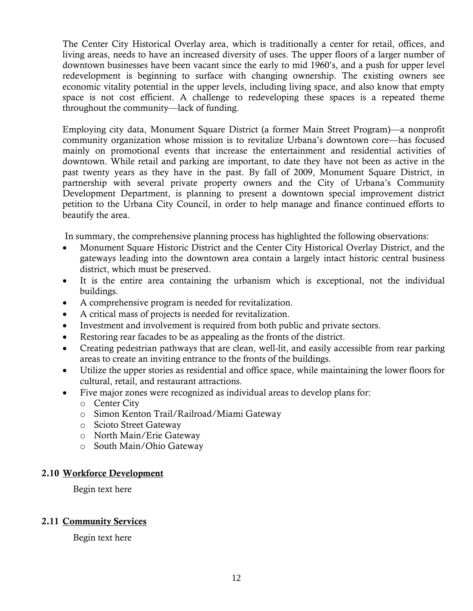The Center City Historical Overlay area, which is traditionally a center for retail, offices, and living areas, needs to have an increased diversity of uses. The upper floors of a larger number of downtown businesses have been vacant since the early to mid 1960's, and a push for upper level redevelopment is beginning to surface with changing ownership. The existing owners see economic vitality potential in the upper levels, including living space, and also know that empty space is not cost efficient. A challenge to redeveloping these spaces is a repeated theme throughout the community—lack of funding.

Employing city data, Monument Square District (a former Main Street Program)—a nonprofit community organization whose mission is to revitalize Urbana's downtown core—has focused mainly on promotional events that increase the entertainment and residential activities of downtown. While retail and parking are important, to date they have not been as active in the past twenty years as they have in the past. By fall of 2009, Monument Square District, in partnership with several private property owners and the City of Urbana's Community Development Department, is planning to present a downtown special improvement district petition to the Urbana City Council, in order to help manage and finance continued efforts to beautify the area.

In summary, the comprehensive planning process has highlighted the following observations:

- Monument Square Historic District and the Center City Historical Overlay District, and the gateways leading into the downtown area contain a largely intact historic central business district, which must be preserved.
- It is the entire area containing the urbanism which is exceptional, not the individual buildings.
- A comprehensive program is needed for revitalization.
- A critical mass of projects is needed for revitalization.
- Investment and involvement is required from both public and private sectors.
- Restoring rear facades to be as appealing as the fronts of the district.
- Creating pedestrian pathways that are clean, well-lit, and easily accessible from rear parking areas to create an inviting entrance to the fronts of the buildings.
- Utilize the upper stories as residential and office space, while maintaining the lower floors for cultural, retail, and restaurant attractions.
- Five major zones were recognized as individual areas to develop plans for: o Center City
	- o Simon Kenton Trail/Railroad/Miami Gateway
	- o Scioto Street Gateway
	- o North Main/Erie Gateway
	- o South Main/Ohio Gateway

#### **2.10 Workforce Development**

Begin text here

#### **2.11 Community Services**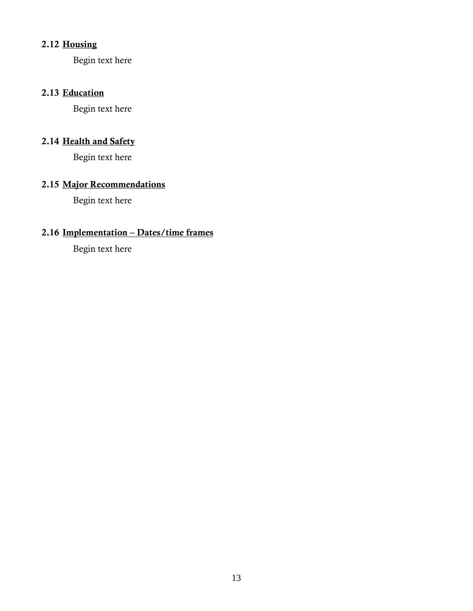## **2.12 Housing**

Begin text here

## **2.13 Education**

Begin text here

#### **2.14 Health and Safety**

Begin text here

## **2.15 Major Recommendations**

Begin text here

## **2.16 Implementation – Dates/time frames**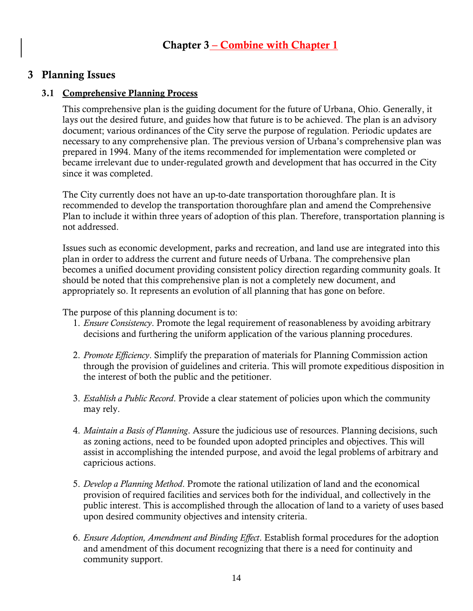## **3 Planning Issues**

#### **3.1 Comprehensive Planning Process**

This comprehensive plan is the guiding document for the future of Urbana, Ohio. Generally, it lays out the desired future, and guides how that future is to be achieved. The plan is an advisory document; various ordinances of the City serve the purpose of regulation. Periodic updates are necessary to any comprehensive plan. The previous version of Urbana's comprehensive plan was prepared in 1994. Many of the items recommended for implementation were completed or became irrelevant due to under-regulated growth and development that has occurred in the City since it was completed.

The City currently does not have an up-to-date transportation thoroughfare plan. It is recommended to develop the transportation thoroughfare plan and amend the Comprehensive Plan to include it within three years of adoption of this plan. Therefore, transportation planning is not addressed.

Issues such as economic development, parks and recreation, and land use are integrated into this plan in order to address the current and future needs of Urbana. The comprehensive plan becomes a unified document providing consistent policy direction regarding community goals. It should be noted that this comprehensive plan is not a completely new document, and appropriately so. It represents an evolution of all planning that has gone on before.

The purpose of this planning document is to:

- 1. *Ensure Consistency*. Promote the legal requirement of reasonableness by avoiding arbitrary decisions and furthering the uniform application of the various planning procedures.
- 2. *Promote Efficiency*. Simplify the preparation of materials for Planning Commission action through the provision of guidelines and criteria. This will promote expeditious disposition in the interest of both the public and the petitioner.
- 3. *Establish a Public Record*. Provide a clear statement of policies upon which the community may rely.
- 4. *Maintain a Basis of Planning*. Assure the judicious use of resources. Planning decisions, such as zoning actions, need to be founded upon adopted principles and objectives. This will assist in accomplishing the intended purpose, and avoid the legal problems of arbitrary and capricious actions.
- 5. *Develop a Planning Method*. Promote the rational utilization of land and the economical provision of required facilities and services both for the individual, and collectively in the public interest. This is accomplished through the allocation of land to a variety of uses based upon desired community objectives and intensity criteria.
- 6. *Ensure Adoption, Amendment and Binding Effect*. Establish formal procedures for the adoption and amendment of this document recognizing that there is a need for continuity and community support.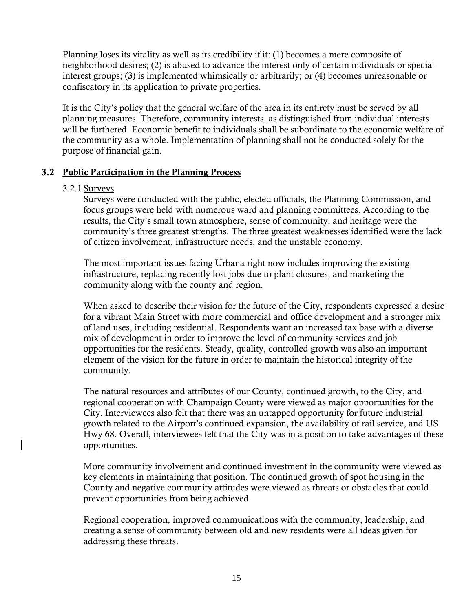Planning loses its vitality as well as its credibility if it: (1) becomes a mere composite of neighborhood desires; (2) is abused to advance the interest only of certain individuals or special interest groups; (3) is implemented whimsically or arbitrarily; or (4) becomes unreasonable or confiscatory in its application to private properties.

It is the City's policy that the general welfare of the area in its entirety must be served by all planning measures. Therefore, community interests, as distinguished from individual interests will be furthered. Economic benefit to individuals shall be subordinate to the economic welfare of the community as a whole. Implementation of planning shall not be conducted solely for the purpose of financial gain.

#### **3.2 Public Participation in the Planning Process**

#### 3.2.1 Surveys

Surveys were conducted with the public, elected officials, the Planning Commission, and focus groups were held with numerous ward and planning committees. According to the results, the City's small town atmosphere, sense of community, and heritage were the community's three greatest strengths. The three greatest weaknesses identified were the lack of citizen involvement, infrastructure needs, and the unstable economy.

The most important issues facing Urbana right now includes improving the existing infrastructure, replacing recently lost jobs due to plant closures, and marketing the community along with the county and region.

When asked to describe their vision for the future of the City, respondents expressed a desire for a vibrant Main Street with more commercial and office development and a stronger mix of land uses, including residential. Respondents want an increased tax base with a diverse mix of development in order to improve the level of community services and job opportunities for the residents. Steady, quality, controlled growth was also an important element of the vision for the future in order to maintain the historical integrity of the community.

The natural resources and attributes of our County, continued growth, to the City, and regional cooperation with Champaign County were viewed as major opportunities for the City. Interviewees also felt that there was an untapped opportunity for future industrial growth related to the Airport's continued expansion, the availability of rail service, and US Hwy 68. Overall, interviewees felt that the City was in a position to take advantages of these opportunities.

More community involvement and continued investment in the community were viewed as key elements in maintaining that position. The continued growth of spot housing in the County and negative community attitudes were viewed as threats or obstacles that could prevent opportunities from being achieved.

Regional cooperation, improved communications with the community, leadership, and creating a sense of community between old and new residents were all ideas given for addressing these threats.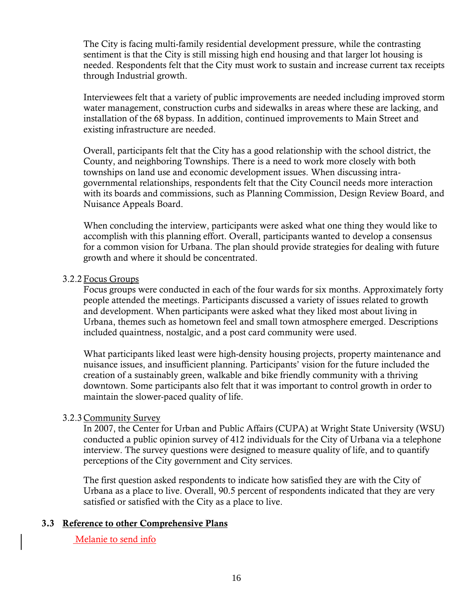The City is facing multi-family residential development pressure, while the contrasting sentiment is that the City is still missing high end housing and that larger lot housing is needed. Respondents felt that the City must work to sustain and increase current tax receipts through Industrial growth.

Interviewees felt that a variety of public improvements are needed including improved storm water management, construction curbs and sidewalks in areas where these are lacking, and installation of the 68 bypass. In addition, continued improvements to Main Street and existing infrastructure are needed.

Overall, participants felt that the City has a good relationship with the school district, the County, and neighboring Townships. There is a need to work more closely with both townships on land use and economic development issues. When discussing intragovernmental relationships, respondents felt that the City Council needs more interaction with its boards and commissions, such as Planning Commission, Design Review Board, and Nuisance Appeals Board.

When concluding the interview, participants were asked what one thing they would like to accomplish with this planning effort. Overall, participants wanted to develop a consensus for a common vision for Urbana. The plan should provide strategies for dealing with future growth and where it should be concentrated.

#### 3.2.2 Focus Groups

Focus groups were conducted in each of the four wards for six months. Approximately forty people attended the meetings. Participants discussed a variety of issues related to growth and development. When participants were asked what they liked most about living in Urbana, themes such as hometown feel and small town atmosphere emerged. Descriptions included quaintness, nostalgic, and a post card community were used.

What participants liked least were high-density housing projects, property maintenance and nuisance issues, and insufficient planning. Participants' vision for the future included the creation of a sustainably green, walkable and bike friendly community with a thriving downtown. Some participants also felt that it was important to control growth in order to maintain the slower-paced quality of life.

#### 3.2.3 Community Survey

In 2007, the Center for Urban and Public Affairs (CUPA) at Wright State University (WSU) conducted a public opinion survey of 412 individuals for the City of Urbana via a telephone interview. The survey questions were designed to measure quality of life, and to quantify perceptions of the City government and City services.

The first question asked respondents to indicate how satisfied they are with the City of Urbana as a place to live. Overall, 90.5 percent of respondents indicated that they are very satisfied or satisfied with the City as a place to live.

#### **3.3 Reference to other Comprehensive Plans**

#### Melanie to send info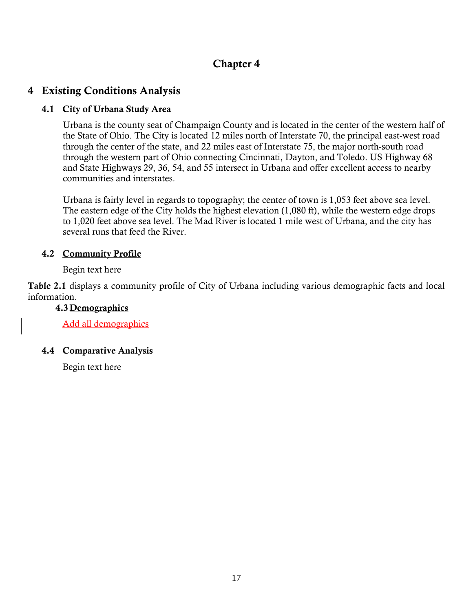## **Chapter 4**

## **4 Existing Conditions Analysis**

#### **4.1 City of Urbana Study Area**

Urbana is the county seat of Champaign County and is located in the center of the western half of the State of Ohio. The City is located 12 miles north of Interstate 70, the principal east-west road through the center of the state, and 22 miles east of Interstate 75, the major north-south road through the western part of Ohio connecting Cincinnati, Dayton, and Toledo. US Highway 68 and State Highways 29, 36, 54, and 55 intersect in Urbana and offer excellent access to nearby communities and interstates.

Urbana is fairly level in regards to topography; the center of town is 1,053 feet above sea level. The eastern edge of the City holds the highest elevation (1,080 ft), while the western edge drops to 1,020 feet above sea level. The Mad River is located 1 mile west of Urbana, and the city has several runs that feed the River.

#### **4.2 Community Profile**

Begin text here

**Table 2.1** displays a community profile of City of Urbana including various demographic facts and local information.

#### **4.3 Demographics**

Add all demographics

#### **4.4 Comparative Analysis**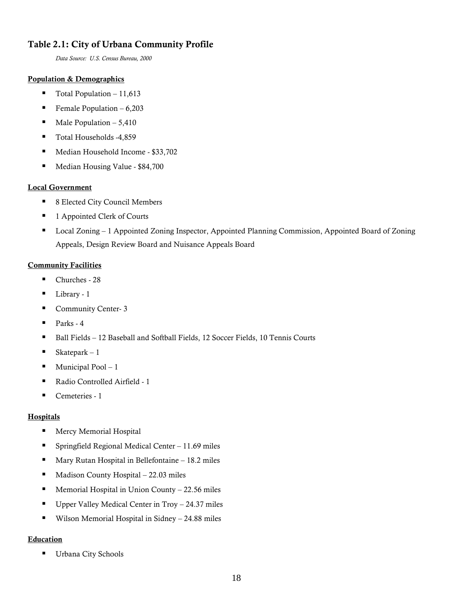#### **Table 2.1: City of Urbana Community Profile**

*Data Source: U.S. Census Bureau, 2000*

#### **Population & Demographics**

- Total Population 11,613
- Female Population 6,203
- Male Population  $-5,410$
- Total Households -4,859
- Median Household Income \$33,702
- Median Housing Value \$84,700

#### **Local Government**

- 8 Elected City Council Members
- 1 Appointed Clerk of Courts
- Local Zoning 1 Appointed Zoning Inspector, Appointed Planning Commission, Appointed Board of Zoning Appeals, Design Review Board and Nuisance Appeals Board

#### **Community Facilities**

- Churches 28
- Library 1
- Community Center- 3
- Parks 4
- Ball Fields 12 Baseball and Softball Fields, 12 Soccer Fields, 10 Tennis Courts
- Skatepark  $-1$
- $\blacksquare$  Municipal Pool 1
- Radio Controlled Airfield 1
- Cemeteries 1

#### **Hospitals**

- **Mercy Memorial Hospital**
- Springfield Regional Medical Center 11.69 miles
- Mary Rutan Hospital in Bellefontaine  $-18.2$  miles
- Madison County Hospital 22.03 miles
- **Memorial Hospital in Union County 22.56 miles**
- Upper Valley Medical Center in Troy 24.37 miles
- Wilson Memorial Hospital in Sidney 24.88 miles

#### **Education**

**Urbana City Schools**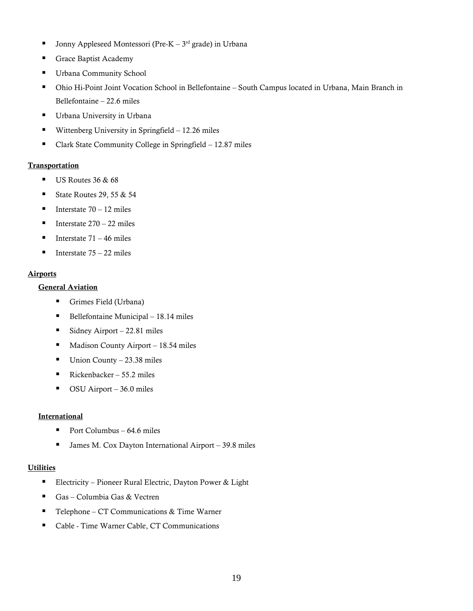- Jonny Appleseed Montessori (Pre-K  $3<sup>rd</sup>$  grade) in Urbana
- Grace Baptist Academy
- Urbana Community School
- Ohio Hi-Point Joint Vocation School in Bellefontaine South Campus located in Urbana, Main Branch in Bellefontaine – 22.6 miles
- Urbana University in Urbana
- **Wittenberg University in Springfield**  $-12.26$  miles
- Clark State Community College in Springfield 12.87 miles

#### **Transportation**

- $\blacksquare$  US Routes 36 & 68
- State Routes 29, 55  $&$  54
- Interstate  $70 12$  miles
- Interstate  $270 22$  miles
- Interstate  $71 46$  miles
- Interstate  $75 22$  miles

#### **Airports**

#### **General Aviation**

- Grimes Field (Urbana)
- $\blacksquare$  Bellefontaine Municipal 18.14 miles
- $\blacksquare$  Sidney Airport 22.81 miles
- $\blacksquare$  Madison County Airport 18.54 miles
- $\blacksquare$  Union County 23.38 miles
- Rickenbacker 55.2 miles
- $\blacksquare$  OSU Airport 36.0 miles

#### **International**

- Port Columbus  $64.6$  miles
- James M. Cox Dayton International Airport 39.8 miles

#### **Utilities**

- Electricity Pioneer Rural Electric, Dayton Power & Light
- Gas Columbia Gas & Vectren
- Telephone CT Communications & Time Warner
- Cable Time Warner Cable, CT Communications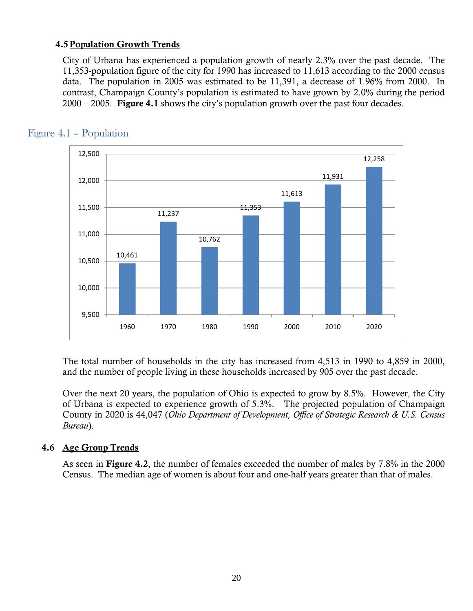#### **4.5Population Growth Trends**

City of Urbana has experienced a population growth of nearly 2.3% over the past decade. The 11,353-population figure of the city for 1990 has increased to 11,613 according to the 2000 census data. The population in 2005 was estimated to be 11,391, a decrease of 1.96% from 2000. In contrast, Champaign County's population is estimated to have grown by 2.0% during the period 2000 – 2005. **Figure 4.1** shows the city's population growth over the past four decades.



## Figure 4.1 – Population

The total number of households in the city has increased from 4,513 in 1990 to 4,859 in 2000, and the number of people living in these households increased by 905 over the past decade.

Over the next 20 years, the population of Ohio is expected to grow by 8.5%. However, the City of Urbana is expected to experience growth of 5.3%. The projected population of Champaign County in 2020 is 44,047 (*Ohio Department of Development, Office of Strategic Research & U.S. Census Bureau*).

#### **4.6 Age Group Trends**

As seen in **Figure 4.2**, the number of females exceeded the number of males by 7.8% in the 2000 Census. The median age of women is about four and one-half years greater than that of males.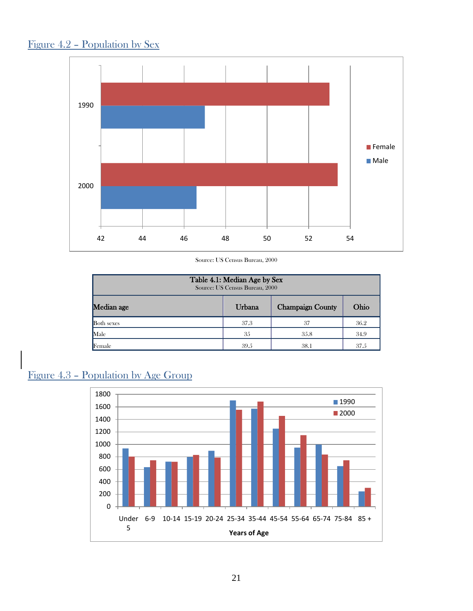



Source: US Census Bureau, 2000

| Table 4.1: Median Age by Sex<br>Source: US Census Bureau, 2000 |      |      |      |  |  |
|----------------------------------------------------------------|------|------|------|--|--|
| Median age<br>Ohio<br><b>Champaign County</b><br>Urbana        |      |      |      |  |  |
| <b>Both</b> sexes                                              | 37.3 | 37   | 36.2 |  |  |
| Male                                                           | 35   | 35.8 | 34.9 |  |  |
| Female                                                         | 39.5 | 38.1 | 37.5 |  |  |

## Figure 4.3 – Population by Age Group

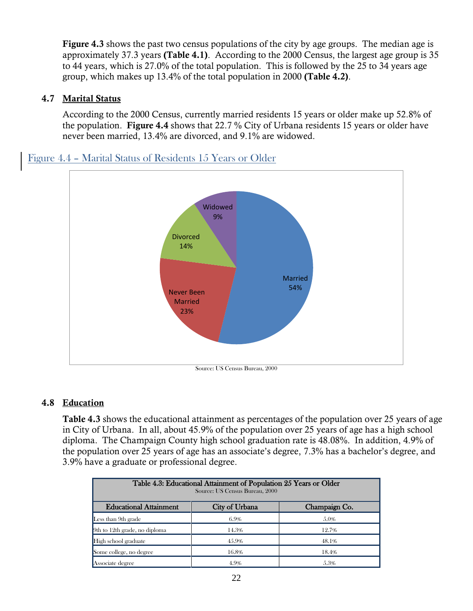**Figure 4.3** shows the past two census populations of the city by age groups. The median age is approximately 37.3 years **(Table 4.1)**. According to the 2000 Census, the largest age group is 35 to 44 years, which is 27.0% of the total population. This is followed by the 25 to 34 years age group, which makes up 13.4% of the total population in 2000 **(Table 4.2)**.

#### **4.7 Marital Status**

According to the 2000 Census, currently married residents 15 years or older make up 52.8% of the population. **Figure 4.4** shows that 22.7 % City of Urbana residents 15 years or older have never been married, 13.4% are divorced, and 9.1% are widowed.

## Figure 4.4 – Marital Status of Residents 15 Years or Older



#### **4.8 Education**

**Table 4.3** shows the educational attainment as percentages of the population over 25 years of age in City of Urbana. In all, about 45.9% of the population over 25 years of age has a high school diploma. The Champaign County high school graduation rate is 48.08%. In addition, 4.9% of the population over 25 years of age has an associate's degree, 7.3% has a bachelor's degree, and 3.9% have a graduate or professional degree.

| Table 4.3: Educational Attainment of Population 25 Years or Older<br>Source: US Census Bureau, 2000 |       |       |  |  |  |
|-----------------------------------------------------------------------------------------------------|-------|-------|--|--|--|
| <b>Educational Attainment</b><br>City of Urbana<br>Champaign Co.                                    |       |       |  |  |  |
| Less than 9th grade                                                                                 | 6.9%  | 5.0%  |  |  |  |
| $9th$ to 12th grade, no diploma                                                                     | 14.3% | 12.7% |  |  |  |
| High school graduate                                                                                | 45.9% | 48.1% |  |  |  |
| Some college, no degree                                                                             | 16.8% | 18.4% |  |  |  |
| Associate degree                                                                                    | 4.9%  | 5.3%  |  |  |  |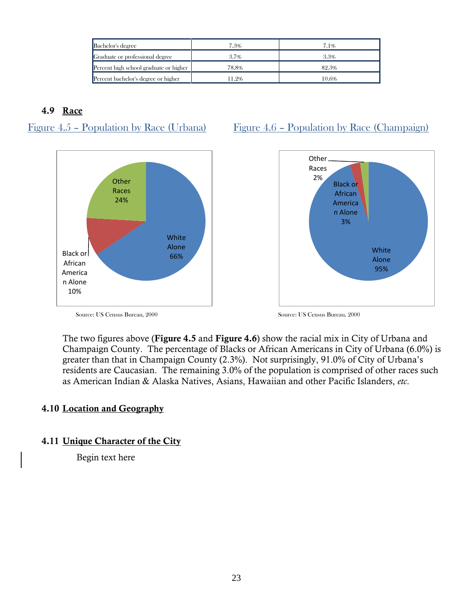| Bachelor's degree                      | 7.3%         | 7.1%  |
|----------------------------------------|--------------|-------|
| Graduate or professional degree        | 3.3%<br>3.7% |       |
| Percent high school graduate or higher | 78.8%        | 82.3% |
| Percent bachelor's degree or higher    | 11.2%        | 10.6% |

#### **4.9 Race**





## Figure 4.5 – Population by Race (Urbana) Figure 4.6 – Population by Race (Champaign)



Source: US Census Bureau, 2000 Source: US Census Bureau, 2000

The two figures above (**Figure 4.5** and **Figure 4.6**) show the racial mix in City of Urbana and Champaign County. The percentage of Blacks or African Americans in City of Urbana (6.0%) is greater than that in Champaign County (2.3%). Not surprisingly, 91.0% of City of Urbana's residents are Caucasian. The remaining 3.0% of the population is comprised of other races such as American Indian & Alaska Natives, Asians, Hawaiian and other Pacific Islanders, *etc*.

#### **4.10 Location and Geography**

#### **4.11 Unique Character of the City**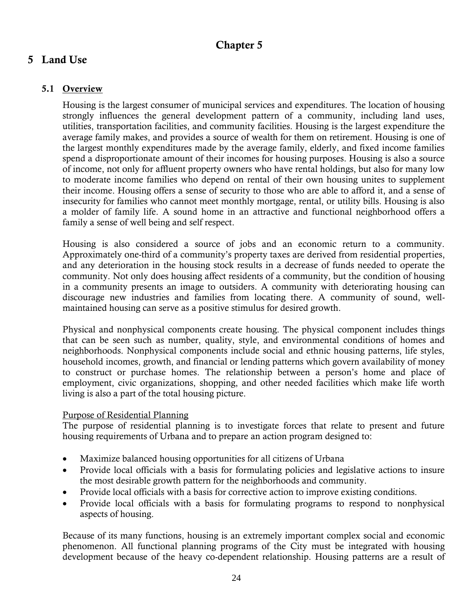## **Chapter 5**

## **5 Land Use**

## **5.1 Overview**

Housing is the largest consumer of municipal services and expenditures. The location of housing strongly influences the general development pattern of a community, including land uses, utilities, transportation facilities, and community facilities. Housing is the largest expenditure the average family makes, and provides a source of wealth for them on retirement. Housing is one of the largest monthly expenditures made by the average family, elderly, and fixed income families spend a disproportionate amount of their incomes for housing purposes. Housing is also a source of income, not only for affluent property owners who have rental holdings, but also for many low to moderate income families who depend on rental of their own housing unites to supplement their income. Housing offers a sense of security to those who are able to afford it, and a sense of insecurity for families who cannot meet monthly mortgage, rental, or utility bills. Housing is also a molder of family life. A sound home in an attractive and functional neighborhood offers a family a sense of well being and self respect.

Housing is also considered a source of jobs and an economic return to a community. Approximately one-third of a community's property taxes are derived from residential properties, and any deterioration in the housing stock results in a decrease of funds needed to operate the community. Not only does housing affect residents of a community, but the condition of housing in a community presents an image to outsiders. A community with deteriorating housing can discourage new industries and families from locating there. A community of sound, wellmaintained housing can serve as a positive stimulus for desired growth.

Physical and nonphysical components create housing. The physical component includes things that can be seen such as number, quality, style, and environmental conditions of homes and neighborhoods. Nonphysical components include social and ethnic housing patterns, life styles, household incomes, growth, and financial or lending patterns which govern availability of money to construct or purchase homes. The relationship between a person's home and place of employment, civic organizations, shopping, and other needed facilities which make life worth living is also a part of the total housing picture.

#### Purpose of Residential Planning

The purpose of residential planning is to investigate forces that relate to present and future housing requirements of Urbana and to prepare an action program designed to:

- Maximize balanced housing opportunities for all citizens of Urbana
- Provide local officials with a basis for formulating policies and legislative actions to insure the most desirable growth pattern for the neighborhoods and community.
- Provide local officials with a basis for corrective action to improve existing conditions.
- Provide local officials with a basis for formulating programs to respond to nonphysical aspects of housing.

Because of its many functions, housing is an extremely important complex social and economic phenomenon. All functional planning programs of the City must be integrated with housing development because of the heavy co-dependent relationship. Housing patterns are a result of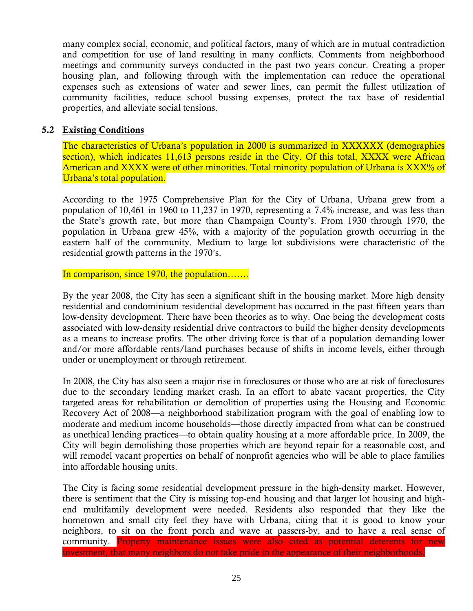many complex social, economic, and political factors, many of which are in mutual contradiction and competition for use of land resulting in many conflicts. Comments from neighborhood meetings and community surveys conducted in the past two years concur. Creating a proper housing plan, and following through with the implementation can reduce the operational expenses such as extensions of water and sewer lines, can permit the fullest utilization of community facilities, reduce school bussing expenses, protect the tax base of residential properties, and alleviate social tensions.

#### **5.2 Existing Conditions**

The characteristics of Urbana's population in 2000 is summarized in XXXXXX (demographics section), which indicates 11,613 persons reside in the City. Of this total, XXXX were African American and XXXX were of other minorities. Total minority population of Urbana is XXX% of Urbana's total population.

According to the 1975 Comprehensive Plan for the City of Urbana, Urbana grew from a population of 10,461 in 1960 to 11,237 in 1970, representing a 7.4% increase, and was less than the State's growth rate, but more than Champaign County's. From 1930 through 1970, the population in Urbana grew 45%, with a majority of the population growth occurring in the eastern half of the community. Medium to large lot subdivisions were characteristic of the residential growth patterns in the 1970's.

In comparison, since 1970, the population…….

By the year 2008, the City has seen a significant shift in the housing market. More high density residential and condominium residential development has occurred in the past fifteen years than low-density development. There have been theories as to why. One being the development costs associated with low-density residential drive contractors to build the higher density developments as a means to increase profits. The other driving force is that of a population demanding lower and/or more affordable rents/land purchases because of shifts in income levels, either through under or unemployment or through retirement.

In 2008, the City has also seen a major rise in foreclosures or those who are at risk of foreclosures due to the secondary lending market crash. In an effort to abate vacant properties, the City targeted areas for rehabilitation or demolition of properties using the Housing and Economic Recovery Act of 2008—a neighborhood stabilization program with the goal of enabling low to moderate and medium income households—those directly impacted from what can be construed as unethical lending practices—to obtain quality housing at a more affordable price. In 2009, the City will begin demolishing those properties which are beyond repair for a reasonable cost, and will remodel vacant properties on behalf of nonprofit agencies who will be able to place families into affordable housing units.

The City is facing some residential development pressure in the high-density market. However, there is sentiment that the City is missing top-end housing and that larger lot housing and highend multifamily development were needed. Residents also responded that they like the hometown and small city feel they have with Urbana, citing that it is good to know your neighbors, to sit on the front porch and wave at passers-by, and to have a real sense of community. Property maintenance issues were also cited as potential deterents for new investment, that many neighbors do not take pride in the appearance of their neighborhoods.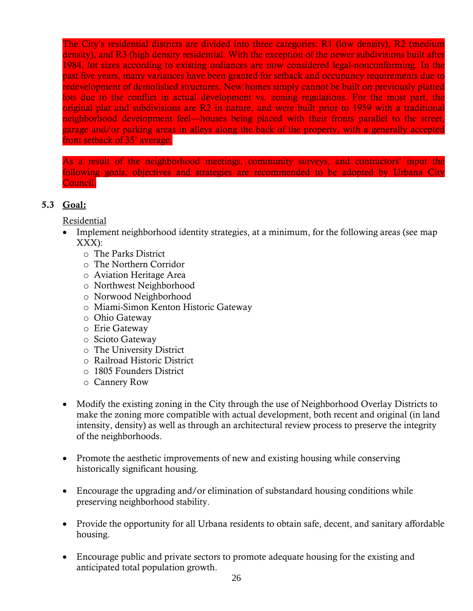The City's residential districts are divided into three categories: R1 (low density), R2 (medium density), and R3 (high density residential. With the exception of the newer subdivisions built after 1984, lot sizes according to existing ordiances are now considered legal-nonconforming. In the past five years, many variances have been granted for setback and occupancy requirements due to redevelopment of demolished structures. New homes simply cannot be built on previously platted lots due to the conflict in actual development vs. zoning regulations. For the most part, the original plat and subdivisions are R2 in nature, and were built prior to 1959 with a traditional neighborhood development feel—houses being placed with their fronts parallel to the street, garage and/or parking areas in alleys along the back of the property, with a generally accepted front setback of 35' average.

As a result of the neighborhood meetings, community surveys, and contractors' input the following goals, objectives and strategies are recommended to be adopted by Urbana City Council.

#### **5.3 Goal:**

Residential

- Implement neighborhood identity strategies, at a minimum, for the following areas (see map XXX):
	- o The Parks District
	- o The Northern Corridor
	- o Aviation Heritage Area
	- o Northwest Neighborhood
	- o Norwood Neighborhood
	- o Miami-Simon Kenton Historic Gateway
	- o Ohio Gateway
	- o Erie Gateway
	- o Scioto Gateway
	- o The University District
	- o Railroad Historic District
	- o 1805 Founders District
	- o Cannery Row
- Modify the existing zoning in the City through the use of Neighborhood Overlay Districts to make the zoning more compatible with actual development, both recent and original (in land intensity, density) as well as through an architectural review process to preserve the integrity of the neighborhoods.
- Promote the aesthetic improvements of new and existing housing while conserving historically significant housing.
- Encourage the upgrading and/or elimination of substandard housing conditions while preserving neighborhood stability.
- Provide the opportunity for all Urbana residents to obtain safe, decent, and sanitary affordable housing.
- Encourage public and private sectors to promote adequate housing for the existing and anticipated total population growth.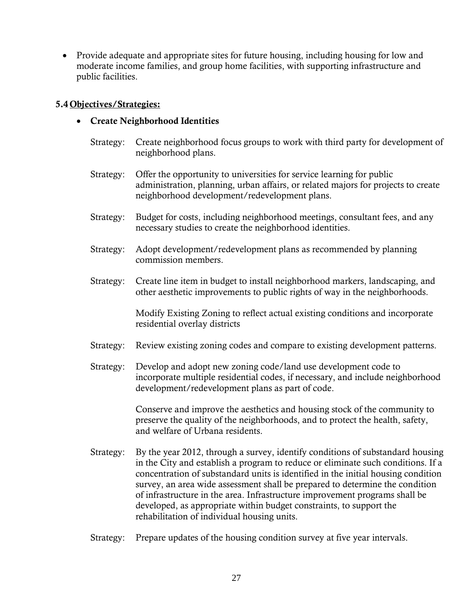• Provide adequate and appropriate sites for future housing, including housing for low and moderate income families, and group home facilities, with supporting infrastructure and public facilities.

#### **5.4 Objectives/Strategies:**

- **Create Neighborhood Identities**
	- Strategy: Create neighborhood focus groups to work with third party for development of neighborhood plans.
	- Strategy: Offer the opportunity to universities for service learning for public administration, planning, urban affairs, or related majors for projects to create neighborhood development/redevelopment plans.
	- Strategy: Budget for costs, including neighborhood meetings, consultant fees, and any necessary studies to create the neighborhood identities.
	- Strategy: Adopt development/redevelopment plans as recommended by planning commission members.
	- Strategy: Create line item in budget to install neighborhood markers, landscaping, and other aesthetic improvements to public rights of way in the neighborhoods.

Modify Existing Zoning to reflect actual existing conditions and incorporate residential overlay districts

- Strategy: Review existing zoning codes and compare to existing development patterns.
- Strategy: Develop and adopt new zoning code/land use development code to incorporate multiple residential codes, if necessary, and include neighborhood development/redevelopment plans as part of code.

Conserve and improve the aesthetics and housing stock of the community to preserve the quality of the neighborhoods, and to protect the health, safety, and welfare of Urbana residents.

- Strategy: By the year 2012, through a survey, identify conditions of substandard housing in the City and establish a program to reduce or eliminate such conditions. If a concentration of substandard units is identified in the initial housing condition survey, an area wide assessment shall be prepared to determine the condition of infrastructure in the area. Infrastructure improvement programs shall be developed, as appropriate within budget constraints, to support the rehabilitation of individual housing units.
- Strategy: Prepare updates of the housing condition survey at five year intervals.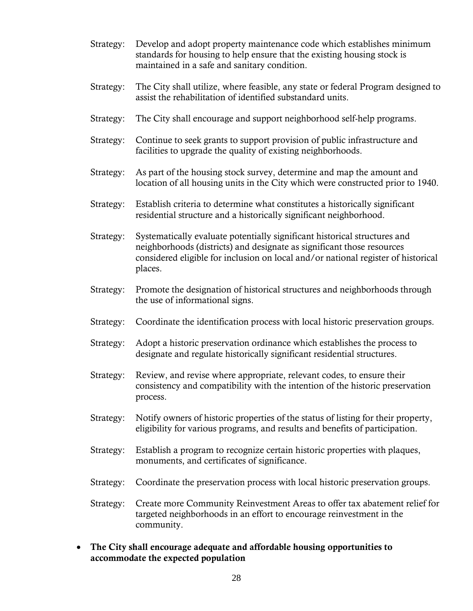- Strategy: Develop and adopt property maintenance code which establishes minimum standards for housing to help ensure that the existing housing stock is maintained in a safe and sanitary condition.
- Strategy: The City shall utilize, where feasible, any state or federal Program designed to assist the rehabilitation of identified substandard units.
- Strategy: The City shall encourage and support neighborhood self-help programs.
- Strategy: Continue to seek grants to support provision of public infrastructure and facilities to upgrade the quality of existing neighborhoods.
- Strategy: As part of the housing stock survey, determine and map the amount and location of all housing units in the City which were constructed prior to 1940.
- Strategy: Establish criteria to determine what constitutes a historically significant residential structure and a historically significant neighborhood.
- Strategy: Systematically evaluate potentially significant historical structures and neighborhoods (districts) and designate as significant those resources considered eligible for inclusion on local and/or national register of historical places.
- Strategy: Promote the designation of historical structures and neighborhoods through the use of informational signs.
- Strategy: Coordinate the identification process with local historic preservation groups.
- Strategy: Adopt a historic preservation ordinance which establishes the process to designate and regulate historically significant residential structures.
- Strategy: Review, and revise where appropriate, relevant codes, to ensure their consistency and compatibility with the intention of the historic preservation process.
- Strategy: Notify owners of historic properties of the status of listing for their property, eligibility for various programs, and results and benefits of participation.
- Strategy: Establish a program to recognize certain historic properties with plaques, monuments, and certificates of significance.
- Strategy: Coordinate the preservation process with local historic preservation groups.
- Strategy: Create more Community Reinvestment Areas to offer tax abatement relief for targeted neighborhoods in an effort to encourage reinvestment in the community.
- **The City shall encourage adequate and affordable housing opportunities to accommodate the expected population**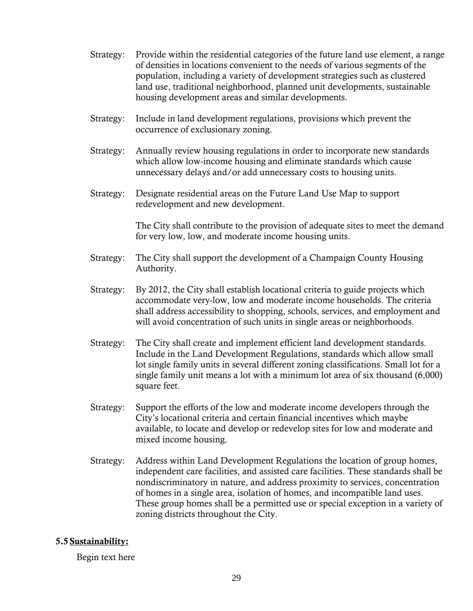- Strategy: Provide within the residential categories of the future land use element, a range of densities in locations convenient to the needs of various segments of the population, including a variety of development strategies such as clustered land use, traditional neighborhood, planned unit developments, sustainable housing development areas and similar developments.
- Strategy: Include in land development regulations, provisions which prevent the occurrence of exclusionary zoning.
- Strategy: Annually review housing regulations in order to incorporate new standards which allow low-income housing and eliminate standards which cause unnecessary delays and/or add unnecessary costs to housing units.
- Strategy: Designate residential areas on the Future Land Use Map to support redevelopment and new development.

The City shall contribute to the provision of adequate sites to meet the demand for very low, low, and moderate income housing units.

- Strategy: The City shall support the development of a Champaign County Housing Authority.
- Strategy: By 2012, the City shall establish locational criteria to guide projects which accommodate very-low, low and moderate income households. The criteria shall address accessibility to shopping, schools, services, and employment and will avoid concentration of such units in single areas or neighborhoods.
- Strategy: The City shall create and implement efficient land development standards. Include in the Land Development Regulations, standards which allow small lot single family units in several different zoning classifications. Small lot for a single family unit means a lot with a minimum lot area of six thousand (6,000) square feet.
- Strategy: Support the efforts of the low and moderate income developers through the City's locational criteria and certain financial incentives which maybe available, to locate and develop or redevelop sites for low and moderate and mixed income housing.
- Strategy: Address within Land Development Regulations the location of group homes, independent care facilities, and assisted care facilities. These standards shall be nondiscriminatory in nature, and address proximity to services, concentration of homes in a single area, isolation of homes, and incompatible land uses. These group homes shall be a permitted use or special exception in a variety of zoning districts throughout the City.

#### **5.5 Sustainability:**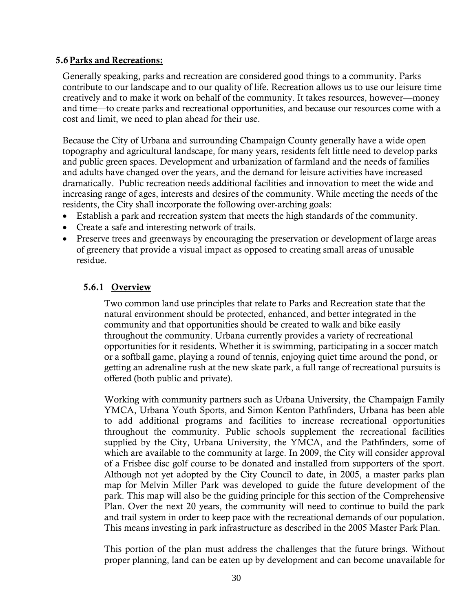#### **5.6Parks and Recreations:**

Generally speaking, parks and recreation are considered good things to a community. Parks contribute to our landscape and to our quality of life. Recreation allows us to use our leisure time creatively and to make it work on behalf of the community. It takes resources, however—money and time—to create parks and recreational opportunities, and because our resources come with a cost and limit, we need to plan ahead for their use.

Because the City of Urbana and surrounding Champaign County generally have a wide open topography and agricultural landscape, for many years, residents felt little need to develop parks and public green spaces. Development and urbanization of farmland and the needs of families and adults have changed over the years, and the demand for leisure activities have increased dramatically. Public recreation needs additional facilities and innovation to meet the wide and increasing range of ages, interests and desires of the community. While meeting the needs of the residents, the City shall incorporate the following over-arching goals:

- Establish a park and recreation system that meets the high standards of the community.
- Create a safe and interesting network of trails.
- Preserve trees and greenways by encouraging the preservation or development of large areas of greenery that provide a visual impact as opposed to creating small areas of unusable residue.

#### **5.6.1 Overview**

Two common land use principles that relate to Parks and Recreation state that the natural environment should be protected, enhanced, and better integrated in the community and that opportunities should be created to walk and bike easily throughout the community. Urbana currently provides a variety of recreational opportunities for it residents. Whether it is swimming, participating in a soccer match or a softball game, playing a round of tennis, enjoying quiet time around the pond, or getting an adrenaline rush at the new skate park, a full range of recreational pursuits is offered (both public and private).

Working with community partners such as Urbana University, the Champaign Family YMCA, Urbana Youth Sports, and Simon Kenton Pathfinders, Urbana has been able to add additional programs and facilities to increase recreational opportunities throughout the community. Public schools supplement the recreational facilities supplied by the City, Urbana University, the YMCA, and the Pathfinders, some of which are available to the community at large. In 2009, the City will consider approval of a Frisbee disc golf course to be donated and installed from supporters of the sport. Although not yet adopted by the City Council to date, in 2005, a master parks plan map for Melvin Miller Park was developed to guide the future development of the park. This map will also be the guiding principle for this section of the Comprehensive Plan. Over the next 20 years, the community will need to continue to build the park and trail system in order to keep pace with the recreational demands of our population. This means investing in park infrastructure as described in the 2005 Master Park Plan.

This portion of the plan must address the challenges that the future brings. Without proper planning, land can be eaten up by development and can become unavailable for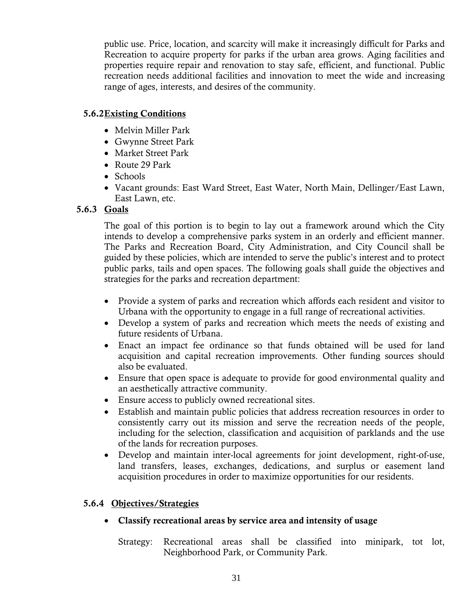public use. Price, location, and scarcity will make it increasingly difficult for Parks and Recreation to acquire property for parks if the urban area grows. Aging facilities and properties require repair and renovation to stay safe, efficient, and functional. Public recreation needs additional facilities and innovation to meet the wide and increasing range of ages, interests, and desires of the community.

#### **5.6.2Existing Conditions**

- Melvin Miller Park
- Gwynne Street Park
- Market Street Park
- Route 29 Park
- Schools
- Vacant grounds: East Ward Street, East Water, North Main, Dellinger/East Lawn, East Lawn, etc.

#### **5.6.3 Goals**

The goal of this portion is to begin to lay out a framework around which the City intends to develop a comprehensive parks system in an orderly and efficient manner. The Parks and Recreation Board, City Administration, and City Council shall be guided by these policies, which are intended to serve the public's interest and to protect public parks, tails and open spaces. The following goals shall guide the objectives and strategies for the parks and recreation department:

- Provide a system of parks and recreation which affords each resident and visitor to Urbana with the opportunity to engage in a full range of recreational activities.
- Develop a system of parks and recreation which meets the needs of existing and future residents of Urbana.
- Enact an impact fee ordinance so that funds obtained will be used for land acquisition and capital recreation improvements. Other funding sources should also be evaluated.
- Ensure that open space is adequate to provide for good environmental quality and an aesthetically attractive community.
- Ensure access to publicly owned recreational sites.
- Establish and maintain public policies that address recreation resources in order to consistently carry out its mission and serve the recreation needs of the people, including for the selection, classification and acquisition of parklands and the use of the lands for recreation purposes.
- Develop and maintain inter-local agreements for joint development, right-of-use, land transfers, leases, exchanges, dedications, and surplus or easement land acquisition procedures in order to maximize opportunities for our residents.

#### **5.6.4 Objectives/Strategies**

**Classify recreational areas by service area and intensity of usage**

Strategy: Recreational areas shall be classified into minipark, tot lot, Neighborhood Park, or Community Park.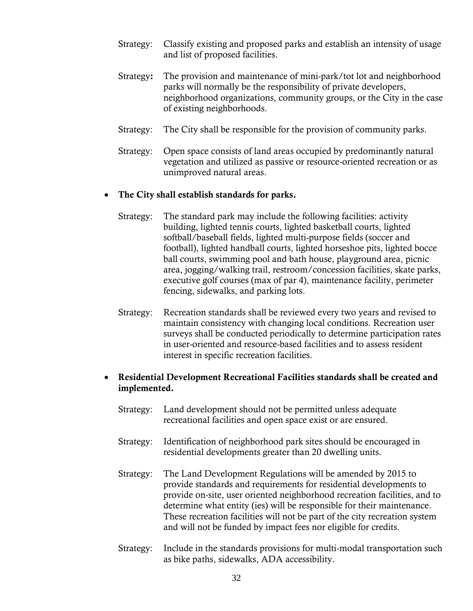- Strategy: Classify existing and proposed parks and establish an intensity of usage and list of proposed facilities.
- Strategy**:** The provision and maintenance of mini-park/tot lot and neighborhood parks will normally be the responsibility of private developers, neighborhood organizations, community groups, or the City in the case of existing neighborhoods.
- Strategy: The City shall be responsible for the provision of community parks.
- Strategy: Open space consists of land areas occupied by predominantly natural vegetation and utilized as passive or resource-oriented recreation or as unimproved natural areas.

#### **The City shall establish standards for parks.**

- Strategy: The standard park may include the following facilities: activity building, lighted tennis courts, lighted basketball courts, lighted softball/baseball fields, lighted multi-purpose fields (soccer and football), lighted handball courts, lighted horseshoe pits, lighted bocce ball courts, swimming pool and bath house, playground area, picnic area, jogging/walking trail, restroom/concession facilities, skate parks, executive golf courses (max of par 4), maintenance facility, perimeter fencing, sidewalks, and parking lots.
- Strategy: Recreation standards shall be reviewed every two years and revised to maintain consistency with changing local conditions. Recreation user surveys shall be conducted periodically to determine participation rates in user-oriented and resource-based facilities and to assess resident interest in specific recreation facilities.

#### **Residential Development Recreational Facilities standards shall be created and implemented.**

- Strategy: Land development should not be permitted unless adequate recreational facilities and open space exist or are ensured.
- Strategy: Identification of neighborhood park sites should be encouraged in residential developments greater than 20 dwelling units.
- Strategy: The Land Development Regulations will be amended by 2015 to provide standards and requirements for residential developments to provide on-site, user oriented neighborhood recreation facilities, and to determine what entity (ies) will be responsible for their maintenance. These recreation facilities will not be part of the city recreation system and will not be funded by impact fees nor eligible for credits.
- Strategy: Include in the standards provisions for multi-modal transportation such as bike paths, sidewalks, ADA accessibility.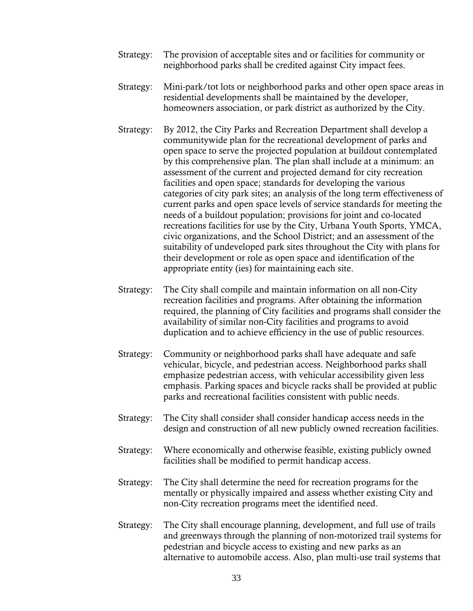- Strategy: The provision of acceptable sites and or facilities for community or neighborhood parks shall be credited against City impact fees.
- Strategy: Mini-park/tot lots or neighborhood parks and other open space areas in residential developments shall be maintained by the developer, homeowners association, or park district as authorized by the City.
- Strategy: By 2012, the City Parks and Recreation Department shall develop a communitywide plan for the recreational development of parks and open space to serve the projected population at buildout contemplated by this comprehensive plan. The plan shall include at a minimum: an assessment of the current and projected demand for city recreation facilities and open space; standards for developing the various categories of city park sites; an analysis of the long term effectiveness of current parks and open space levels of service standards for meeting the needs of a buildout population; provisions for joint and co-located recreations facilities for use by the City, Urbana Youth Sports, YMCA, civic organizations, and the School District; and an assessment of the suitability of undeveloped park sites throughout the City with plans for their development or role as open space and identification of the appropriate entity (ies) for maintaining each site.
- Strategy: The City shall compile and maintain information on all non-City recreation facilities and programs. After obtaining the information required, the planning of City facilities and programs shall consider the availability of similar non-City facilities and programs to avoid duplication and to achieve efficiency in the use of public resources.
- Strategy: Community or neighborhood parks shall have adequate and safe vehicular, bicycle, and pedestrian access. Neighborhood parks shall emphasize pedestrian access, with vehicular accessibility given less emphasis. Parking spaces and bicycle racks shall be provided at public parks and recreational facilities consistent with public needs.
- Strategy: The City shall consider shall consider handicap access needs in the design and construction of all new publicly owned recreation facilities.
- Strategy: Where economically and otherwise feasible, existing publicly owned facilities shall be modified to permit handicap access.
- Strategy: The City shall determine the need for recreation programs for the mentally or physically impaired and assess whether existing City and non-City recreation programs meet the identified need.
- Strategy: The City shall encourage planning, development, and full use of trails and greenways through the planning of non-motorized trail systems for pedestrian and bicycle access to existing and new parks as an alternative to automobile access. Also, plan multi-use trail systems that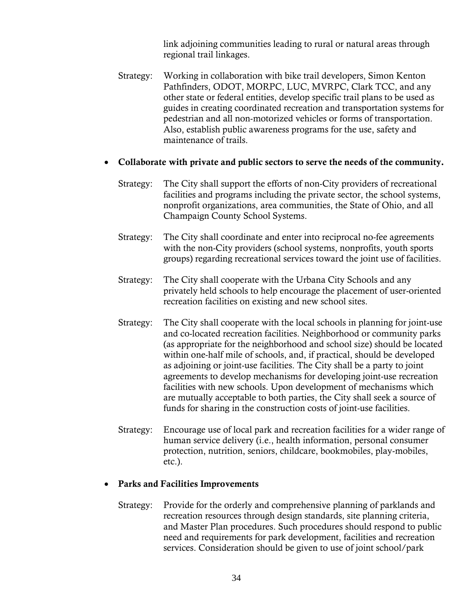link adjoining communities leading to rural or natural areas through regional trail linkages.

Strategy: Working in collaboration with bike trail developers, Simon Kenton Pathfinders, ODOT, MORPC, LUC, MVRPC, Clark TCC, and any other state or federal entities, develop specific trail plans to be used as guides in creating coordinated recreation and transportation systems for pedestrian and all non-motorized vehicles or forms of transportation. Also, establish public awareness programs for the use, safety and maintenance of trails.

#### **Collaborate with private and public sectors to serve the needs of the community.**

- Strategy: The City shall support the efforts of non-City providers of recreational facilities and programs including the private sector, the school systems, nonprofit organizations, area communities, the State of Ohio, and all Champaign County School Systems.
- Strategy: The City shall coordinate and enter into reciprocal no-fee agreements with the non-City providers (school systems, nonprofits, youth sports groups) regarding recreational services toward the joint use of facilities.
- Strategy: The City shall cooperate with the Urbana City Schools and any privately held schools to help encourage the placement of user-oriented recreation facilities on existing and new school sites.
- Strategy: The City shall cooperate with the local schools in planning for joint-use and co-located recreation facilities. Neighborhood or community parks (as appropriate for the neighborhood and school size) should be located within one-half mile of schools, and, if practical, should be developed as adjoining or joint-use facilities. The City shall be a party to joint agreements to develop mechanisms for developing joint-use recreation facilities with new schools. Upon development of mechanisms which are mutually acceptable to both parties, the City shall seek a source of funds for sharing in the construction costs of joint-use facilities.
- Strategy: Encourage use of local park and recreation facilities for a wider range of human service delivery (i.e., health information, personal consumer protection, nutrition, seniors, childcare, bookmobiles, play-mobiles, etc.).

#### **Parks and Facilities Improvements**

Strategy: Provide for the orderly and comprehensive planning of parklands and recreation resources through design standards, site planning criteria, and Master Plan procedures. Such procedures should respond to public need and requirements for park development, facilities and recreation services. Consideration should be given to use of joint school/park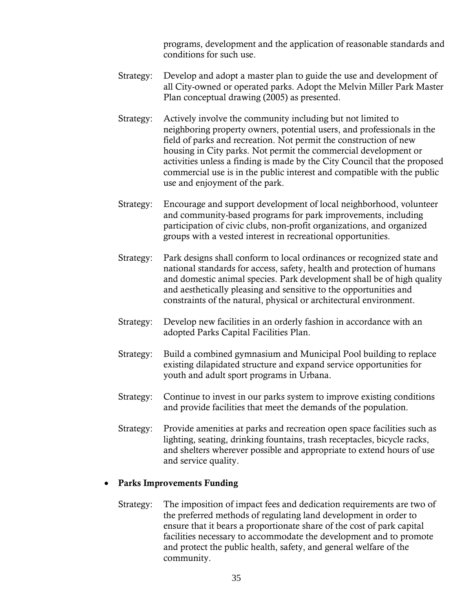programs, development and the application of reasonable standards and conditions for such use.

- Strategy: Develop and adopt a master plan to guide the use and development of all City-owned or operated parks. Adopt the Melvin Miller Park Master Plan conceptual drawing (2005) as presented.
- Strategy: Actively involve the community including but not limited to neighboring property owners, potential users, and professionals in the field of parks and recreation. Not permit the construction of new housing in City parks. Not permit the commercial development or activities unless a finding is made by the City Council that the proposed commercial use is in the public interest and compatible with the public use and enjoyment of the park.
- Strategy: Encourage and support development of local neighborhood, volunteer and community-based programs for park improvements, including participation of civic clubs, non-profit organizations, and organized groups with a vested interest in recreational opportunities.
- Strategy: Park designs shall conform to local ordinances or recognized state and national standards for access, safety, health and protection of humans and domestic animal species. Park development shall be of high quality and aesthetically pleasing and sensitive to the opportunities and constraints of the natural, physical or architectural environment.
- Strategy: Develop new facilities in an orderly fashion in accordance with an adopted Parks Capital Facilities Plan.
- Strategy: Build a combined gymnasium and Municipal Pool building to replace existing dilapidated structure and expand service opportunities for youth and adult sport programs in Urbana.
- Strategy: Continue to invest in our parks system to improve existing conditions and provide facilities that meet the demands of the population.
- Strategy: Provide amenities at parks and recreation open space facilities such as lighting, seating, drinking fountains, trash receptacles, bicycle racks, and shelters wherever possible and appropriate to extend hours of use and service quality.

#### **Parks Improvements Funding**

Strategy: The imposition of impact fees and dedication requirements are two of the preferred methods of regulating land development in order to ensure that it bears a proportionate share of the cost of park capital facilities necessary to accommodate the development and to promote and protect the public health, safety, and general welfare of the community.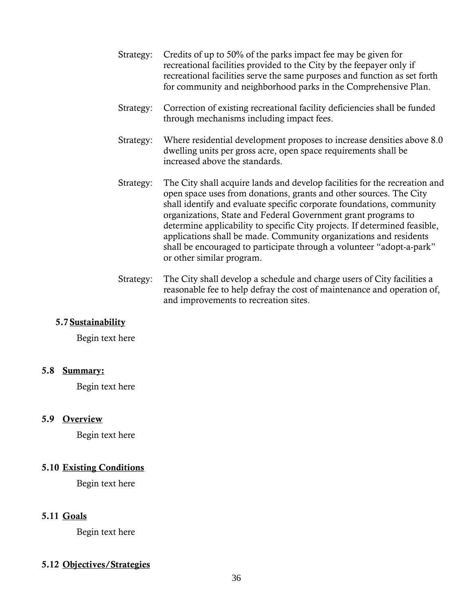- Strategy: Credits of up to 50% of the parks impact fee may be given for recreational facilities provided to the City by the feepayer only if recreational facilities serve the same purposes and function as set forth for community and neighborhood parks in the Comprehensive Plan.
- Strategy: Correction of existing recreational facility deficiencies shall be funded through mechanisms including impact fees.
- Strategy: Where residential development proposes to increase densities above 8.0 dwelling units per gross acre, open space requirements shall be increased above the standards.
- Strategy: The City shall acquire lands and develop facilities for the recreation and open space uses from donations, grants and other sources. The City shall identify and evaluate specific corporate foundations, community organizations, State and Federal Government grant programs to determine applicability to specific City projects. If determined feasible, applications shall be made. Community organizations and residents shall be encouraged to participate through a volunteer "adopt-a-park" or other similar program.
- Strategy: The City shall develop a schedule and charge users of City facilities a reasonable fee to help defray the cost of maintenance and operation of, and improvements to recreation sites.

#### **5.7 Sustainability**

Begin text here

#### **5.8 Summary:**

Begin text here

#### **5.9 Overview**

Begin text here

#### **5.10 Existing Conditions**

Begin text here

#### **5.11 Goals**

Begin text here

#### **5.12 Objectives/Strategies**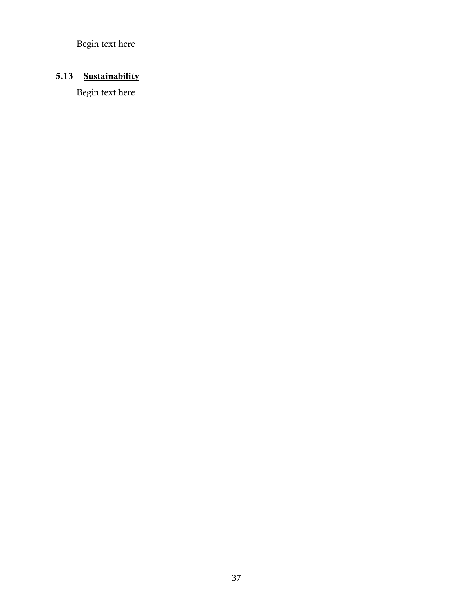Begin text here

# **5.13 Sustainability**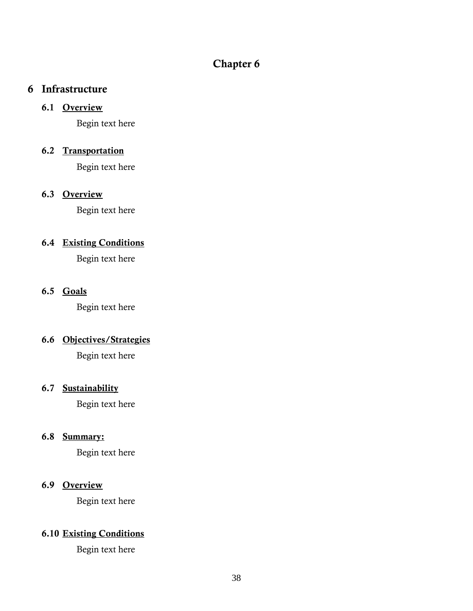## **Chapter 6**

#### **6 Infrastructure**

#### **6.1 Overview**

Begin text here

#### **6.2 Transportation**

Begin text here

## **6.3 Overview**

Begin text here

## **6.4 Existing Conditions**

Begin text here

#### **6.5 Goals**

Begin text here

#### **6.6 Objectives/Strategies**

Begin text here

#### **6.7 Sustainability**

Begin text here

#### **6.8 Summary:**

Begin text here

#### **6.9 Overview**

Begin text here

## **6.10 Existing Conditions**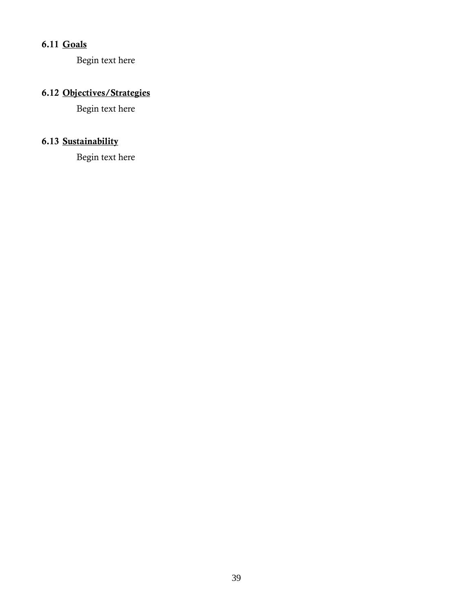# **6.11 Goals**

Begin text here

# **6.12 Objectives/Strategies**

Begin text here

## **6.13 Sustainability**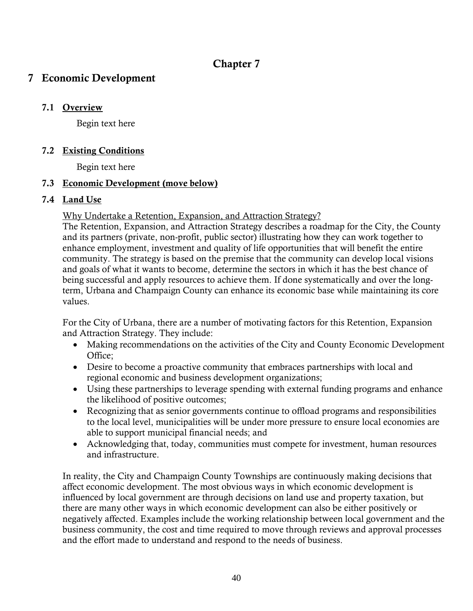## **Chapter 7**

## **7 Economic Development**

#### **7.1 Overview**

Begin text here

#### **7.2 Existing Conditions**

Begin text here

#### **7.3 Economic Development (move below)**

#### **7.4 Land Use**

Why Undertake a Retention, Expansion, and Attraction Strategy?

The Retention, Expansion, and Attraction Strategy describes a roadmap for the City, the County and its partners (private, non-profit, public sector) illustrating how they can work together to enhance employment, investment and quality of life opportunities that will benefit the entire community. The strategy is based on the premise that the community can develop local visions and goals of what it wants to become, determine the sectors in which it has the best chance of being successful and apply resources to achieve them. If done systematically and over the longterm, Urbana and Champaign County can enhance its economic base while maintaining its core values.

For the City of Urbana, there are a number of motivating factors for this Retention, Expansion and Attraction Strategy. They include:

- Making recommendations on the activities of the City and County Economic Development Office;
- Desire to become a proactive community that embraces partnerships with local and regional economic and business development organizations;
- Using these partnerships to leverage spending with external funding programs and enhance the likelihood of positive outcomes;
- Recognizing that as senior governments continue to offload programs and responsibilities to the local level, municipalities will be under more pressure to ensure local economies are able to support municipal financial needs; and
- Acknowledging that, today, communities must compete for investment, human resources and infrastructure.

In reality, the City and Champaign County Townships are continuously making decisions that affect economic development. The most obvious ways in which economic development is influenced by local government are through decisions on land use and property taxation, but there are many other ways in which economic development can also be either positively or negatively affected. Examples include the working relationship between local government and the business community, the cost and time required to move through reviews and approval processes and the effort made to understand and respond to the needs of business.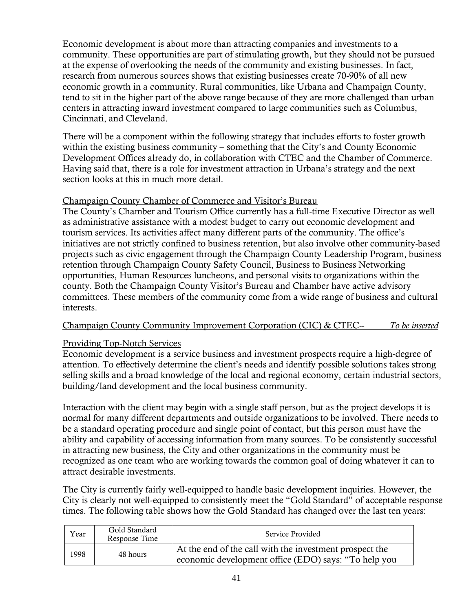Economic development is about more than attracting companies and investments to a community. These opportunities are part of stimulating growth, but they should not be pursued at the expense of overlooking the needs of the community and existing businesses. In fact, research from numerous sources shows that existing businesses create 70-90% of all new economic growth in a community. Rural communities, like Urbana and Champaign County, tend to sit in the higher part of the above range because of they are more challenged than urban centers in attracting inward investment compared to large communities such as Columbus, Cincinnati, and Cleveland.

There will be a component within the following strategy that includes efforts to foster growth within the existing business community – something that the City's and County Economic Development Offices already do, in collaboration with CTEC and the Chamber of Commerce. Having said that, there is a role for investment attraction in Urbana's strategy and the next section looks at this in much more detail.

#### Champaign County Chamber of Commerce and Visitor's Bureau

The County's Chamber and Tourism Office currently has a full-time Executive Director as well as administrative assistance with a modest budget to carry out economic development and tourism services. Its activities affect many different parts of the community. The office's initiatives are not strictly confined to business retention, but also involve other community-based projects such as civic engagement through the Champaign County Leadership Program, business retention through Champaign County Safety Council, Business to Business Networking opportunities, Human Resources luncheons, and personal visits to organizations within the county. Both the Champaign County Visitor's Bureau and Chamber have active advisory committees. These members of the community come from a wide range of business and cultural interests.

#### Champaign County Community Improvement Corporation (CIC) & CTEC-- *To be inserted*

#### Providing Top-Notch Services

Economic development is a service business and investment prospects require a high-degree of attention. To effectively determine the client's needs and identify possible solutions takes strong selling skills and a broad knowledge of the local and regional economy, certain industrial sectors, building/land development and the local business community.

Interaction with the client may begin with a single staff person, but as the project develops it is normal for many different departments and outside organizations to be involved. There needs to be a standard operating procedure and single point of contact, but this person must have the ability and capability of accessing information from many sources. To be consistently successful in attracting new business, the City and other organizations in the community must be recognized as one team who are working towards the common goal of doing whatever it can to attract desirable investments.

The City is currently fairly well-equipped to handle basic development inquiries. However, the City is clearly not well-equipped to consistently meet the "Gold Standard" of acceptable response times. The following table shows how the Gold Standard has changed over the last ten years:

| Year | Gold Standard<br>Response Time | Service Provided                                                                                                |
|------|--------------------------------|-----------------------------------------------------------------------------------------------------------------|
| 1998 | 48 hours                       | At the end of the call with the investment prospect the<br>economic development office (EDO) says: "To help you |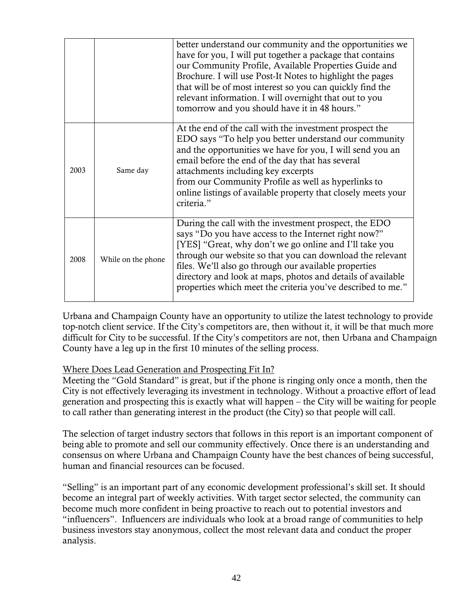|      |                    | better understand our community and the opportunities we<br>have for you, I will put together a package that contains<br>our Community Profile, Available Properties Guide and<br>Brochure. I will use Post-It Notes to highlight the pages<br>that will be of most interest so you can quickly find the<br>relevant information. I will overnight that out to you<br>tomorrow and you should have it in 48 hours."         |
|------|--------------------|-----------------------------------------------------------------------------------------------------------------------------------------------------------------------------------------------------------------------------------------------------------------------------------------------------------------------------------------------------------------------------------------------------------------------------|
| 2003 | Same day           | At the end of the call with the investment prospect the<br>EDO says "To help you better understand our community<br>and the opportunities we have for you, I will send you an<br>email before the end of the day that has several<br>attachments including key excerpts<br>from our Community Profile as well as hyperlinks to<br>online listings of available property that closely meets your<br>criteria."               |
| 2008 | While on the phone | During the call with the investment prospect, the EDO<br>says "Do you have access to the Internet right now?"<br>[YES] "Great, why don't we go online and I'll take you<br>through our website so that you can download the relevant<br>files. We'll also go through our available properties<br>directory and look at maps, photos and details of available<br>properties which meet the criteria you've described to me." |

Urbana and Champaign County have an opportunity to utilize the latest technology to provide top-notch client service. If the City's competitors are, then without it, it will be that much more difficult for City to be successful. If the City's competitors are not, then Urbana and Champaign County have a leg up in the first 10 minutes of the selling process.

#### Where Does Lead Generation and Prospecting Fit In?

Meeting the "Gold Standard" is great, but if the phone is ringing only once a month, then the City is not effectively leveraging its investment in technology. Without a proactive effort of lead generation and prospecting this is exactly what will happen – the City will be waiting for people to call rather than generating interest in the product (the City) so that people will call.

The selection of target industry sectors that follows in this report is an important component of being able to promote and sell our community effectively. Once there is an understanding and consensus on where Urbana and Champaign County have the best chances of being successful, human and financial resources can be focused.

"Selling" is an important part of any economic development professional's skill set. It should become an integral part of weekly activities. With target sector selected, the community can become much more confident in being proactive to reach out to potential investors and "influencers". Influencers are individuals who look at a broad range of communities to help business investors stay anonymous, collect the most relevant data and conduct the proper analysis.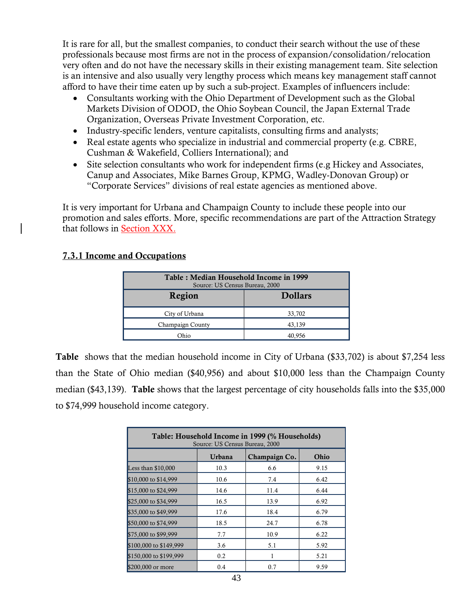It is rare for all, but the smallest companies, to conduct their search without the use of these professionals because most firms are not in the process of expansion/consolidation/relocation very often and do not have the necessary skills in their existing management team. Site selection is an intensive and also usually very lengthy process which means key management staff cannot afford to have their time eaten up by such a sub-project. Examples of influencers include:

- Consultants working with the Ohio Department of Development such as the Global Markets Division of ODOD, the Ohio Soybean Council, the Japan External Trade Organization, Overseas Private Investment Corporation, etc.
- Industry-specific lenders, venture capitalists, consulting firms and analysts;
- Real estate agents who specialize in industrial and commercial property (e.g. CBRE, Cushman & Wakefield, Colliers International); and
- Site selection consultants who work for independent firms (e.g Hickey and Associates, Canup and Associates, Mike Barnes Group, KPMG, Wadley-Donovan Group) or ―Corporate Services‖ divisions of real estate agencies as mentioned above.

It is very important for Urbana and Champaign County to include these people into our promotion and sales efforts. More, specific recommendations are part of the Attraction Strategy that follows in Section XXX.

#### **7.3.1 Income and Occupations**

| Table: Median Household Income in 1999<br>Source: US Census Bureau, 2000 |        |  |  |
|--------------------------------------------------------------------------|--------|--|--|
| Region<br><b>Dollars</b>                                                 |        |  |  |
| City of Urbana                                                           | 33,702 |  |  |
| Champaign County                                                         | 43.139 |  |  |
| Ohio                                                                     | 40.956 |  |  |

**Table** shows that the median household income in City of Urbana (\$33,702) is about \$7,254 less than the State of Ohio median (\$40,956) and about \$10,000 less than the Champaign County median (\$43,139). **Table** shows that the largest percentage of city households falls into the \$35,000 to \$74,999 household income category.

| Table: Household Income in 1999 (% Households)<br>Source: US Census Bureau, 2000 |        |               |      |  |
|----------------------------------------------------------------------------------|--------|---------------|------|--|
|                                                                                  | Urbana | Champaign Co. | Ohio |  |
| Less than $$10,000$                                                              | 10.3   | 6.6           | 9.15 |  |
| \$10,000 to \$14,999                                                             | 10.6   | 7.4           | 6.42 |  |
| \$15,000 to \$24,999                                                             | 14.6   | 11.4          | 6.44 |  |
| \$25,000 to \$34,999                                                             | 16.5   | 13.9          | 6.92 |  |
| \$35,000 to \$49,999                                                             | 17.6   | 18.4          | 6.79 |  |
| \$50,000 to \$74,999                                                             | 18.5   | 24.7          | 6.78 |  |
| \$75,000 to \$99,999                                                             | 7.7    | 10.9          | 6.22 |  |
| \$100,000 to \$149,999                                                           | 3.6    | 5.1           | 5.92 |  |
| \$150,000 to \$199,999                                                           | 0.2    | 1             | 5.21 |  |
| \$200,000 or more                                                                | 0.4    | 0.7           | 9.59 |  |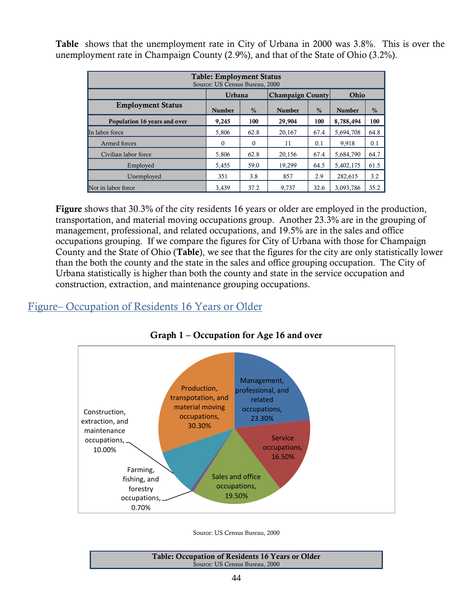**Table** shows that the unemployment rate in City of Urbana in 2000 was 3.8%. This is over the unemployment rate in Champaign County (2.9%), and that of the State of Ohio (3.2%).

| <b>Table: Employment Status</b><br>Source: US Census Bureau, 2000 |               |               |                         |               |               |               |  |  |  |
|-------------------------------------------------------------------|---------------|---------------|-------------------------|---------------|---------------|---------------|--|--|--|
|                                                                   | <b>Urbana</b> |               | <b>Champaign County</b> |               | Ohio          |               |  |  |  |
| <b>Employment Status</b>                                          | <b>Number</b> | $\frac{0}{0}$ | <b>Number</b>           | $\frac{0}{0}$ | <b>Number</b> | $\frac{0}{0}$ |  |  |  |
| Population 16 years and over                                      | 9,245         | 100           | 29,904                  | 100           | 8,788,494     | 100           |  |  |  |
| In labor force                                                    | 5.806         | 62.8          | 20,167                  | 67.4          | 5,694,708     | 64.8          |  |  |  |
| Armed forces                                                      | $\Omega$      | $\Omega$      | 11                      | 0.1           | 9,918         | 0.1           |  |  |  |
| Civilian labor force                                              | 5,806         | 62.8          | 20,156                  | 67.4          | 5,684,790     | 64.7          |  |  |  |
| Employed                                                          | 5,455         | 59.0          | 19,299                  | 64.5          | 5,402,175     | 61.5          |  |  |  |
| Unemploved                                                        | 351           | 3.8           | 857                     | 2.9           | 282.615       | 3.2           |  |  |  |
| Not in labor force                                                | 3.439         | 37.2          | 9.737                   | 32.6          | 3.093.786     | 35.2          |  |  |  |

**Figure** shows that 30.3% of the city residents 16 years or older are employed in the production, transportation, and material moving occupations group. Another 23.3% are in the grouping of management, professional, and related occupations, and 19.5% are in the sales and office occupations grouping. If we compare the figures for City of Urbana with those for Champaign County and the State of Ohio (**Table**), we see that the figures for the city are only statistically lower than the both the county and the state in the sales and office grouping occupation. The City of Urbana statistically is higher than both the county and state in the service occupation and construction, extraction, and maintenance grouping occupations.

## Figure– Occupation of Residents 16 Years or Older



**Graph 1 – Occupation for Age 16 and over**

Source: US Census Bureau, 2000

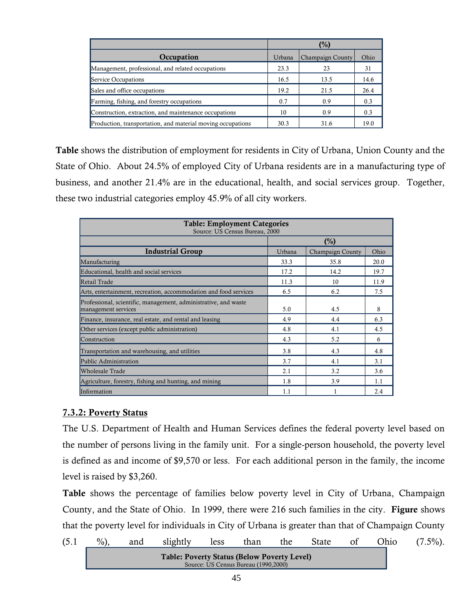|                                                             | $(\%)$ |                  |      |  |
|-------------------------------------------------------------|--------|------------------|------|--|
| Occupation                                                  | Urbana | Champaign County | Ohio |  |
| Management, professional, and related occupations           | 23.3   | 23               | 31   |  |
| Service Occupations                                         | 16.5   | 13.5             | 14.6 |  |
| Sales and office occupations                                | 19.2   | 21.5             | 26.4 |  |
| Farming, fishing, and forestry occupations                  | 0.7    | 0.9              | 0.3  |  |
| Construction, extraction, and maintenance occupations       | 10     | 0.9              | 0.3  |  |
| Production, transportation, and material moving occupations | 30.3   | 31.6             | 19.0 |  |

**Table** shows the distribution of employment for residents in City of Urbana, Union County and the State of Ohio. About 24.5% of employed City of Urbana residents are in a manufacturing type of business, and another 21.4% are in the educational, health, and social services group. Together, these two industrial categories employ 45.9% of all city workers.

| <b>Table: Employment Categories</b><br>Source: US Census Bureau, 2000                  |        |                  |      |  |  |  |  |
|----------------------------------------------------------------------------------------|--------|------------------|------|--|--|--|--|
|                                                                                        |        | (%)              |      |  |  |  |  |
| <b>Industrial Group</b>                                                                | Urbana | Champaign County | Ohio |  |  |  |  |
| Manufacturing                                                                          | 33.3   | 35.8             | 20.0 |  |  |  |  |
| Educational, health and social services                                                | 17.2   | 14.2             | 19.7 |  |  |  |  |
| Retail Trade                                                                           | 11.3   | 10               | 11.9 |  |  |  |  |
| Arts, entertainment, recreation, accommodation and food services                       | 6.5    | 6.2              | 7.5  |  |  |  |  |
| Professional, scientific, management, administrative, and waste<br>management services | 5.0    | 4.5              | 8    |  |  |  |  |
| Finance, insurance, real estate, and rental and leasing                                | 4.9    | 4.4              | 6.3  |  |  |  |  |
| Other services (except public administration)                                          | 4.8    | 4.1              | 4.5  |  |  |  |  |
| Construction                                                                           | 4.3    | 5.2              | 6    |  |  |  |  |
| Transportation and warehousing, and utilities                                          | 3.8    | 4.3              | 4.8  |  |  |  |  |
| Public Administration                                                                  | 3.7    | 4.1              | 3.1  |  |  |  |  |
| Wholesale Trade                                                                        | 2.1    | 3.2              | 3.6  |  |  |  |  |
| Agriculture, forestry, fishing and hunting, and mining                                 | 1.8    | 3.9              | 1.1  |  |  |  |  |
| Information                                                                            | 1.1    |                  | 2.4  |  |  |  |  |

#### **7.3.2: Poverty Status**

The U.S. Department of Health and Human Services defines the federal poverty level based on the number of persons living in the family unit. For a single-person household, the poverty level is defined as and income of \$9,570 or less. For each additional person in the family, the income level is raised by \$3,260.

**Table** shows the percentage of families below poverty level in City of Urbana, Champaign County, and the State of Ohio. In 1999, there were 216 such families in the city. **Figure** shows that the poverty level for individuals in City of Urbana is greater than that of Champaign County

(5.1 
$$
\frac{\%}{\%}
$$
), and slightly less than the State of Ohio (7.5%).  
Table: **Powerty Status (Below Powerty Level)**  
Source: US Census Bureau (1990,2000)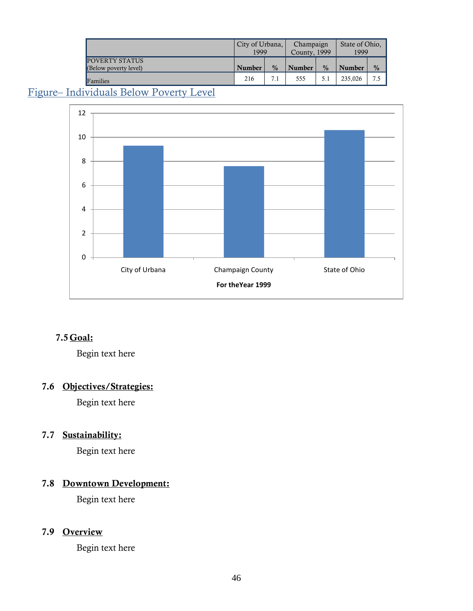|                                         | City of Urbana,<br>1999 |               | Champaign<br>County, 1999 |               | State of Ohio.<br>1999 |               |
|-----------------------------------------|-------------------------|---------------|---------------------------|---------------|------------------------|---------------|
| POVERTY STATUS<br>(Below poverty level) | Number                  | $\frac{0}{0}$ | Number                    | $\frac{0}{0}$ | <b>Number</b>          | $\frac{0}{0}$ |
| Families                                | 216                     | 7.1           | 555                       | 5.1           | 235.026                | 7.5           |

## Figure– Individuals Below Poverty Level



## **7.5Goal:**

Begin text here

#### **7.6 Objectives/Strategies:**

Begin text here

## **7.7 Sustainability:**

Begin text here

## **7.8 Downtown Development:**

Begin text here

#### **7.9 Overview**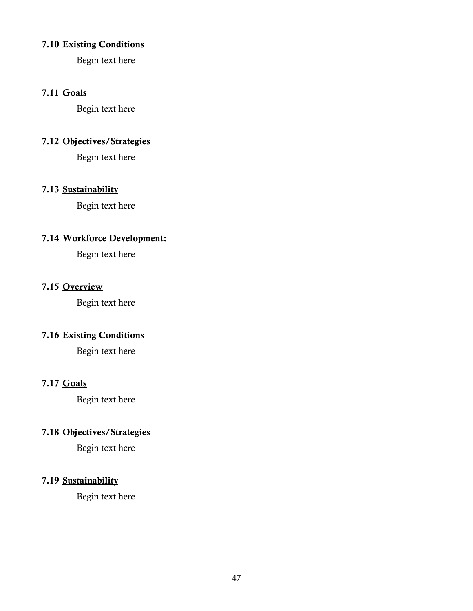#### **7.10 Existing Conditions**

Begin text here

#### **7.11 Goals**

Begin text here

#### **7.12 Objectives/Strategies**

Begin text here

#### **7.13 Sustainability**

Begin text here

## **7.14 Workforce Development:**

Begin text here

#### **7.15 Overview**

Begin text here

## **7.16 Existing Conditions**

Begin text here

## **7.17 Goals**

Begin text here

## **7.18 Objectives/Strategies**

Begin text here

#### **7.19 Sustainability**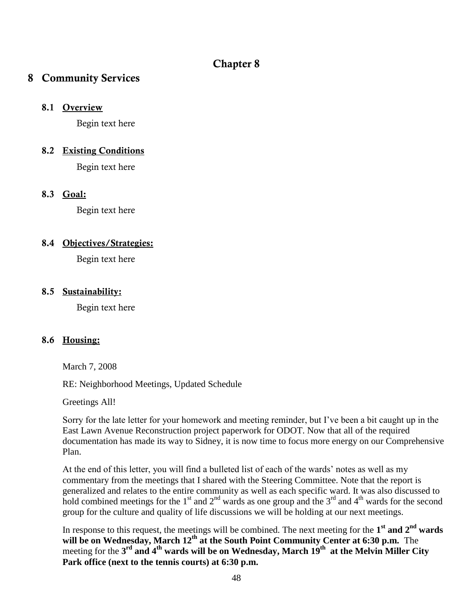## **Chapter 8**

## **8 Community Services**

#### **8.1 Overview**

Begin text here

#### **8.2 Existing Conditions**

Begin text here

#### **8.3 Goal:**

Begin text here

#### **8.4 Objectives/Strategies:**

Begin text here

#### **8.5 Sustainability:**

Begin text here

#### **8.6 Housing:**

March 7, 2008

RE: Neighborhood Meetings, Updated Schedule

Greetings All!

Sorry for the late letter for your homework and meeting reminder, but I've been a bit caught up in the East Lawn Avenue Reconstruction project paperwork for ODOT. Now that all of the required documentation has made its way to Sidney, it is now time to focus more energy on our Comprehensive Plan.

At the end of this letter, you will find a bulleted list of each of the wards' notes as well as my commentary from the meetings that I shared with the Steering Committee. Note that the report is generalized and relates to the entire community as well as each specific ward. It was also discussed to hold combined meetings for the 1<sup>st</sup> and 2<sup>nd</sup> wards as one group and the 3<sup>rd</sup> and 4<sup>th</sup> wards for the second group for the culture and quality of life discussions we will be holding at our next meetings.

In response to this request, the meetings will be combined. The next meeting for the **1 st and 2nd wards will be on Wednesday, March 12th at the South Point Community Center at 6:30 p.m.** The meeting for the 3<sup>rd</sup> and 4<sup>th</sup> wards will be on Wednesday, March 19<sup>th</sup> at the Melvin Miller City **Park office (next to the tennis courts) at 6:30 p.m.**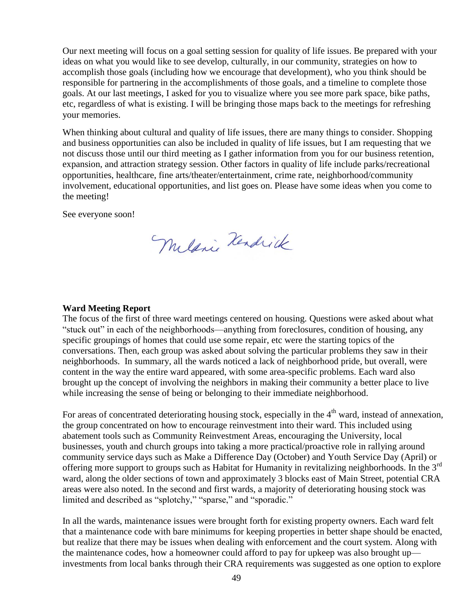Our next meeting will focus on a goal setting session for quality of life issues. Be prepared with your ideas on what you would like to see develop, culturally, in our community, strategies on how to accomplish those goals (including how we encourage that development), who you think should be responsible for partnering in the accomplishments of those goals, and a timeline to complete those goals. At our last meetings, I asked for you to visualize where you see more park space, bike paths, etc, regardless of what is existing. I will be bringing those maps back to the meetings for refreshing your memories.

When thinking about cultural and quality of life issues, there are many things to consider. Shopping and business opportunities can also be included in quality of life issues, but I am requesting that we not discuss those until our third meeting as I gather information from you for our business retention, expansion, and attraction strategy session. Other factors in quality of life include parks/recreational opportunities, healthcare, fine arts/theater/entertainment, crime rate, neighborhood/community involvement, educational opportunities, and list goes on. Please have some ideas when you come to the meeting!

See everyone soon!

Mulani Kendrick

#### **Ward Meeting Report**

The focus of the first of three ward meetings centered on housing. Questions were asked about what "stuck out" in each of the neighborhoods—anything from foreclosures, condition of housing, any specific groupings of homes that could use some repair, etc were the starting topics of the conversations. Then, each group was asked about solving the particular problems they saw in their neighborhoods. In summary, all the wards noticed a lack of neighborhood pride, but overall, were content in the way the entire ward appeared, with some area-specific problems. Each ward also brought up the concept of involving the neighbors in making their community a better place to live while increasing the sense of being or belonging to their immediate neighborhood.

For areas of concentrated deteriorating housing stock, especially in the  $4<sup>th</sup>$  ward, instead of annexation, the group concentrated on how to encourage reinvestment into their ward. This included using abatement tools such as Community Reinvestment Areas, encouraging the University, local businesses, youth and church groups into taking a more practical/proactive role in rallying around community service days such as Make a Difference Day (October) and Youth Service Day (April) or offering more support to groups such as Habitat for Humanity in revitalizing neighborhoods. In the 3<sup>rd</sup> ward, along the older sections of town and approximately 3 blocks east of Main Street, potential CRA areas were also noted. In the second and first wards, a majority of deteriorating housing stock was limited and described as "splotchy," "sparse," and "sporadic."

In all the wards, maintenance issues were brought forth for existing property owners. Each ward felt that a maintenance code with bare minimums for keeping properties in better shape should be enacted, but realize that there may be issues when dealing with enforcement and the court system. Along with the maintenance codes, how a homeowner could afford to pay for upkeep was also brought up investments from local banks through their CRA requirements was suggested as one option to explore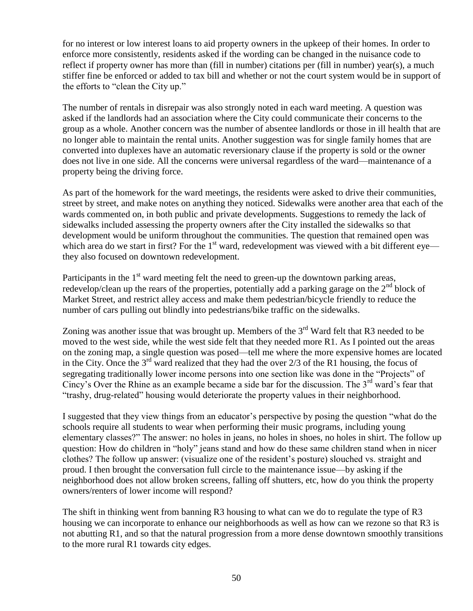for no interest or low interest loans to aid property owners in the upkeep of their homes. In order to enforce more consistently, residents asked if the wording can be changed in the nuisance code to reflect if property owner has more than (fill in number) citations per (fill in number) year(s), a much stiffer fine be enforced or added to tax bill and whether or not the court system would be in support of the efforts to "clean the City up."

The number of rentals in disrepair was also strongly noted in each ward meeting. A question was asked if the landlords had an association where the City could communicate their concerns to the group as a whole. Another concern was the number of absentee landlords or those in ill health that are no longer able to maintain the rental units. Another suggestion was for single family homes that are converted into duplexes have an automatic reversionary clause if the property is sold or the owner does not live in one side. All the concerns were universal regardless of the ward—maintenance of a property being the driving force.

As part of the homework for the ward meetings, the residents were asked to drive their communities, street by street, and make notes on anything they noticed. Sidewalks were another area that each of the wards commented on, in both public and private developments. Suggestions to remedy the lack of sidewalks included assessing the property owners after the City installed the sidewalks so that development would be uniform throughout the communities. The question that remained open was which area do we start in first? For the 1<sup>st</sup> ward, redevelopment was viewed with a bit different eye they also focused on downtown redevelopment.

Participants in the  $1<sup>st</sup>$  ward meeting felt the need to green-up the downtown parking areas, redevelop/clean up the rears of the properties, potentially add a parking garage on the  $2<sup>nd</sup>$  block of Market Street, and restrict alley access and make them pedestrian/bicycle friendly to reduce the number of cars pulling out blindly into pedestrians/bike traffic on the sidewalks.

Zoning was another issue that was brought up. Members of the  $3<sup>rd</sup>$  Ward felt that R3 needed to be moved to the west side, while the west side felt that they needed more R1. As I pointed out the areas on the zoning map, a single question was posed—tell me where the more expensive homes are located in the City. Once the  $3^{rd}$  ward realized that they had the over 2/3 of the R1 housing, the focus of segregating traditionally lower income persons into one section like was done in the "Projects" of Cincy's Over the Rhine as an example became a side bar for the discussion. The  $3<sup>rd</sup>$  ward's fear that ―trashy, drug-related‖ housing would deteriorate the property values in their neighborhood.

I suggested that they view things from an educator's perspective by posing the question "what do the schools require all students to wear when performing their music programs, including young elementary classes?" The answer: no holes in jeans, no holes in shoes, no holes in shirt. The follow up question: How do children in "holy" jeans stand and how do these same children stand when in nicer clothes? The follow up answer: (visualize one of the resident's posture) slouched vs. straight and proud. I then brought the conversation full circle to the maintenance issue—by asking if the neighborhood does not allow broken screens, falling off shutters, etc, how do you think the property owners/renters of lower income will respond?

The shift in thinking went from banning R3 housing to what can we do to regulate the type of R3 housing we can incorporate to enhance our neighborhoods as well as how can we rezone so that R3 is not abutting R1, and so that the natural progression from a more dense downtown smoothly transitions to the more rural R1 towards city edges.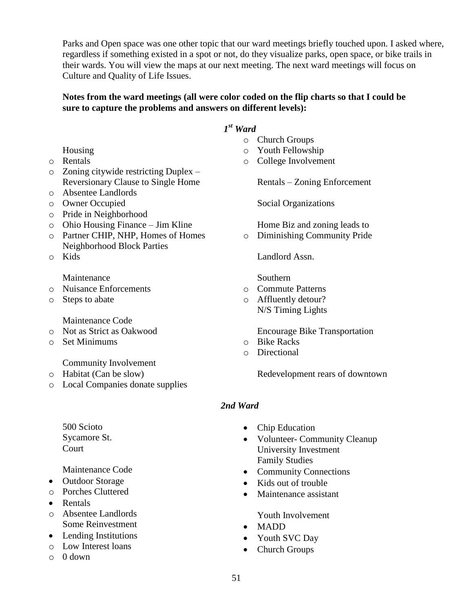Parks and Open space was one other topic that our ward meetings briefly touched upon. I asked where, regardless if something existed in a spot or not, do they visualize parks, open space, or bike trails in their wards. You will view the maps at our next meeting. The next ward meetings will focus on Culture and Quality of Life Issues.

#### **Notes from the ward meetings (all were color coded on the flip charts so that I could be sure to capture the problems and answers on different levels):**

#### *1 st Ward*

- o Church Groups
- o Youth Fellowship
- o College Involvement

Rentals – Zoning Enforcement

Social Organizations

Home Biz and zoning leads to

o Diminishing Community Pride

Landlord Assn.

Southern

- o Commute Patterns
- o Affluently detour? N/S Timing Lights

Encourage Bike Transportation

- o Bike Racks
- o Directional

Redevelopment rears of downtown

#### *2nd Ward*

- Chip Education
- Volunteer- Community Cleanup University Investment Family Studies
- Community Connections
- Kids out of trouble
- Maintenance assistant

Youth Involvement

- MADD
- Youth SVC Day
- Church Groups
- Housing
- o Rentals
- o Zoning citywide restricting Duplex Reversionary Clause to Single Home
- o Absentee Landlords
- o Owner Occupied
- o Pride in Neighborhood
- o Ohio Housing Finance Jim Kline
- o Partner CHIP, NHP, Homes of Homes Neighborhood Block Parties
- o Kids

#### Maintenance

- o Nuisance Enforcements
- o Steps to abate

Maintenance Code

- o Not as Strict as Oakwood
- o Set Minimums

Community Involvement

- o Habitat (Can be slow)
- o Local Companies donate supplies
	- 500 Scioto Sycamore St. **Court**

Maintenance Code

- Outdoor Storage
- o Porches Cluttered
- Rentals
- o Absentee Landlords Some Reinvestment
- Lending Institutions
- o Low Interest loans
- $\circ$  0 down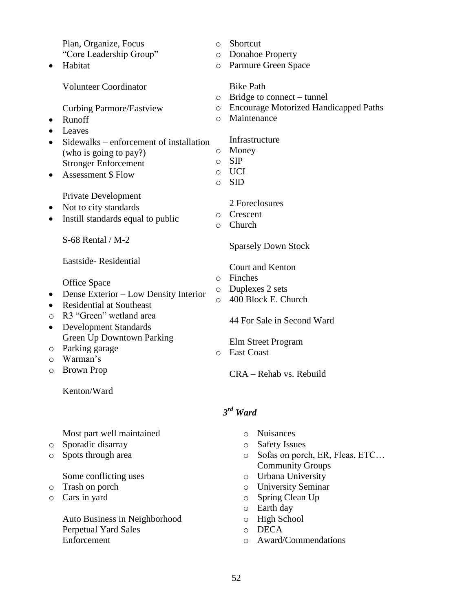Plan, Organize, Focus "Core Leadership Group" • Habitat Volunteer Coordinator Curbing Parmore/Eastview • Runoff • Leaves • Sidewalks – enforcement of installation (who is going to pay?) Stronger Enforcement Assessment \$ Flow Private Development • Not to city standards • Instill standards equal to public S-68 Rental / M-2 Eastside- Residential Office Space • Dense Exterior – Low Density Interior • Residential at Southeast o R3 "Green" wetland area Development Standards Green Up Downtown Parking o Parking garage o Warman's o Brown Prop Kenton/Ward o Shortcut o Donahoe Property o Parmure Green Space Bike Path o Bridge to connect – tunnel o Encourage Motorized Handicapped Paths o Maintenance Infrastructure o Money o SIP o UCI o SID 2 Foreclosures o Crescent o Church Sparsely Down Stock Court and Kenton o Finches o Duplexes 2 sets o 400 Block E. Church 44 For Sale in Second Ward Elm Street Program o East Coast CRA – Rehab vs. Rebuild *3 rd Ward* Most part well maintained o Sporadic disarray o Spots through area Some conflicting uses o Trash on porch o Cars in yard Auto Business in Neighborhood Perpetual Yard Sales Enforcement o Nuisances o Safety Issues o Sofas on porch, ER, Fleas, ETC… Community Groups o Urbana University o University Seminar o Spring Clean Up o Earth day o High School o DECA o Award/Commendations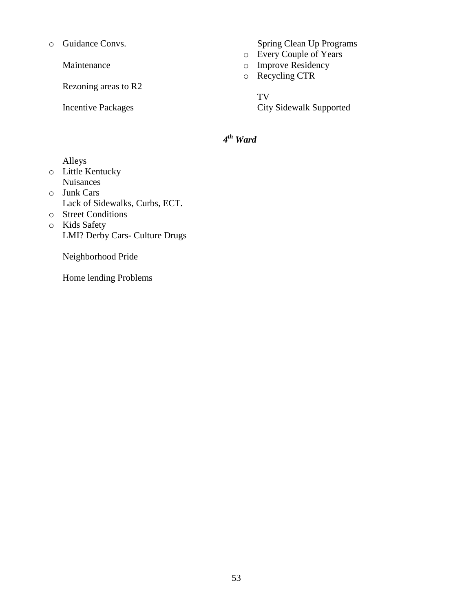o Guidance Convs.

Maintenance

Rezoning areas to R2

Incentive Packages

Spring Clean Up Programs

- o Every Couple of Years
- o Improve Residency
- o Recycling CTR

TV City Sidewalk Supported

#### *4 th Ward*

Alleys

- o Little Kentucky Nuisances
- o Junk Cars Lack of Sidewalks, Curbs, ECT.
- o Street Conditions o Kids Safety LMI? Derby Cars- Culture Drugs

Neighborhood Pride

Home lending Problems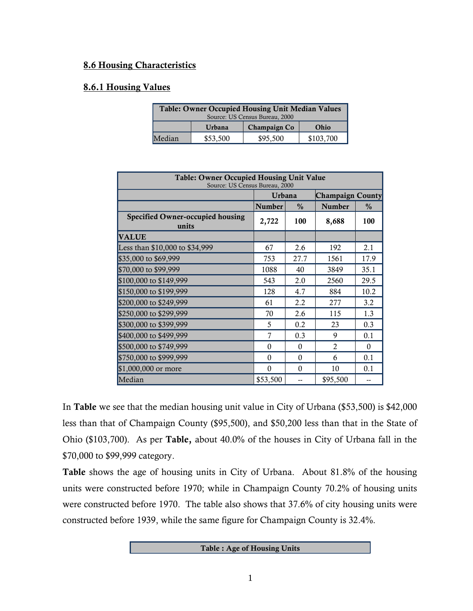#### **8.6 Housing Characteristics**

#### **8.6.1 Housing Values**

|        | <b>Table: Owner Occupied Housing Unit Median Values</b><br>Source: US Census Bureau, 2000 |                     |           |  |  |  |  |  |
|--------|-------------------------------------------------------------------------------------------|---------------------|-----------|--|--|--|--|--|
|        | Urbana                                                                                    | <b>Champaign Co</b> | Ohio      |  |  |  |  |  |
| Median | \$53,500                                                                                  | \$95,500            | \$103,700 |  |  |  |  |  |

| <b>Table: Owner Occupied Housing Unit Value</b><br>Source: US Census Bureau, 2000 |          |          |                         |               |  |  |  |  |
|-----------------------------------------------------------------------------------|----------|----------|-------------------------|---------------|--|--|--|--|
|                                                                                   | Urbana   |          | <b>Champaign County</b> |               |  |  |  |  |
|                                                                                   | Number   | $\%$     | Number                  | $\frac{0}{0}$ |  |  |  |  |
| <b>Specified Owner-occupied housing</b><br>units                                  | 2,722    | 100      | 8,688                   | 100           |  |  |  |  |
| <b>VALUE</b>                                                                      |          |          |                         |               |  |  |  |  |
| Less than \$10,000 to \$34,999                                                    | 67       | 2.6      | 192                     | 2.1           |  |  |  |  |
| \$35,000 to \$69,999                                                              | 753      | 27.7     | 1561                    | 17.9          |  |  |  |  |
| \$70,000 to \$99,999                                                              | 1088     | 40       | 3849                    | 35.1          |  |  |  |  |
| \$100,000 to \$149,999                                                            | 543      | 2.0      | 2560                    | 29.5          |  |  |  |  |
| \$150,000 to \$199,999                                                            | 128      | 4.7      | 884                     | 10.2          |  |  |  |  |
| \$200,000 to \$249,999                                                            | 61       | 2.2      | 277                     | 3.2           |  |  |  |  |
| \$250,000 to \$299,999                                                            | 70       | 2.6      | 115                     | 1.3           |  |  |  |  |
| \$300,000 to \$399,999                                                            | 5        | 0.2      | 23                      | 0.3           |  |  |  |  |
| \$400,000 to \$499,999                                                            | 7        | 0.3      | 9                       | 0.1           |  |  |  |  |
| \$500,000 to \$749,999                                                            | $\theta$ | $\Omega$ | $\overline{2}$          | $\Omega$      |  |  |  |  |
| \$750,000 to \$999,999                                                            | $\theta$ | $\Omega$ | 6                       | 0.1           |  |  |  |  |
| \$1,000,000 or more                                                               | $\theta$ | $\Omega$ | 10                      | 0.1           |  |  |  |  |
| Median                                                                            | \$53,500 |          | \$95,500                |               |  |  |  |  |

In **Table** we see that the median housing unit value in City of Urbana (\$53,500) is \$42,000 less than that of Champaign County (\$95,500), and \$50,200 less than that in the State of Ohio (\$103,700). As per **Table,** about 40.0% of the houses in City of Urbana fall in the \$70,000 to \$99,999 category.

**Table** shows the age of housing units in City of Urbana. About 81.8% of the housing units were constructed before 1970; while in Champaign County 70.2% of housing units were constructed before 1970. The table also shows that 37.6% of city housing units were constructed before 1939, while the same figure for Champaign County is 32.4%.

**Table : Age of Housing Units**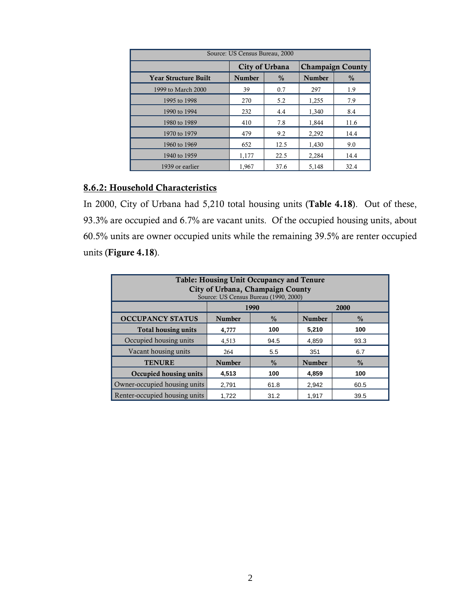| Source: US Census Bureau, 2000 |                |               |               |                         |  |  |  |  |  |
|--------------------------------|----------------|---------------|---------------|-------------------------|--|--|--|--|--|
|                                | City of Urbana |               |               | <b>Champaign County</b> |  |  |  |  |  |
| <b>Year Structure Built</b>    | <b>Number</b>  | $\frac{0}{0}$ | <b>Number</b> | $\frac{0}{0}$           |  |  |  |  |  |
| 1999 to March 2000             | 39             | 0.7           | 297           | 1.9                     |  |  |  |  |  |
| 1995 to 1998                   | 270            | 5.2           | 1,255         | 7.9                     |  |  |  |  |  |
| 1990 to 1994                   | 232            | 4.4           | 1,340         | 8.4                     |  |  |  |  |  |
| 1980 to 1989                   | 410            | 7.8           | 1,844         | 11.6                    |  |  |  |  |  |
| 1970 to 1979                   | 479            | 9.2           | 2,292         | 14.4                    |  |  |  |  |  |
| 1960 to 1969                   | 652            | 12.5          | 1,430         | 9.0                     |  |  |  |  |  |
| 1940 to 1959                   | 1,177          | 22.5          | 2,284         | 14.4                    |  |  |  |  |  |
| 1939 or earlier                | 1,967          | 37.6          | 5,148         | 32.4                    |  |  |  |  |  |

#### **8.6.2: Household Characteristics**

In 2000, City of Urbana had 5,210 total housing units (**Table 4.18**). Out of these, 93.3% are occupied and 6.7% are vacant units. Of the occupied housing units, about 60.5% units are owner occupied units while the remaining 39.5% are renter occupied units (**Figure 4.18**).

| <b>Table: Housing Unit Occupancy and Tenure</b><br>City of Urbana, Champaign County<br>Source: US Census Bureau (1990, 2000) |               |               |               |               |  |  |  |  |  |
|------------------------------------------------------------------------------------------------------------------------------|---------------|---------------|---------------|---------------|--|--|--|--|--|
|                                                                                                                              |               | 1990          |               | 2000          |  |  |  |  |  |
| <b>OCCUPANCY STATUS</b>                                                                                                      | <b>Number</b> | $\frac{0}{0}$ | <b>Number</b> | $\frac{0}{0}$ |  |  |  |  |  |
| <b>Total housing units</b>                                                                                                   | 4,777         | 100           | 5,210         | 100           |  |  |  |  |  |
| Occupied housing units                                                                                                       | 4,513         | 94.5          | 4,859         | 93.3          |  |  |  |  |  |
| Vacant housing units                                                                                                         | 264           | 5.5           | 351           | 6.7           |  |  |  |  |  |
| <b>TENURE</b>                                                                                                                | <b>Number</b> | $\frac{0}{0}$ | <b>Number</b> | $\frac{0}{0}$ |  |  |  |  |  |
| Occupied housing units                                                                                                       | 4,513         | 100           | 4,859         | 100           |  |  |  |  |  |
| Owner-occupied housing units                                                                                                 | 2,791         | 61.8          | 2,942         | 60.5          |  |  |  |  |  |
| Renter-occupied housing units                                                                                                | 1.722         | 31.2          | 1.917         | 39.5          |  |  |  |  |  |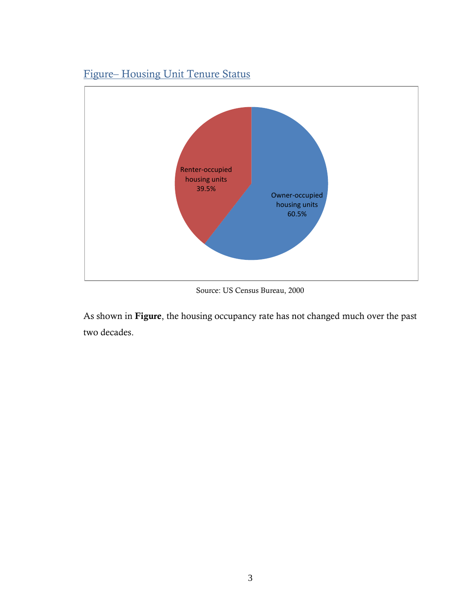

# Figure– Housing Unit Tenure Status

Source: US Census Bureau, 2000

As shown in **Figure**, the housing occupancy rate has not changed much over the past two decades.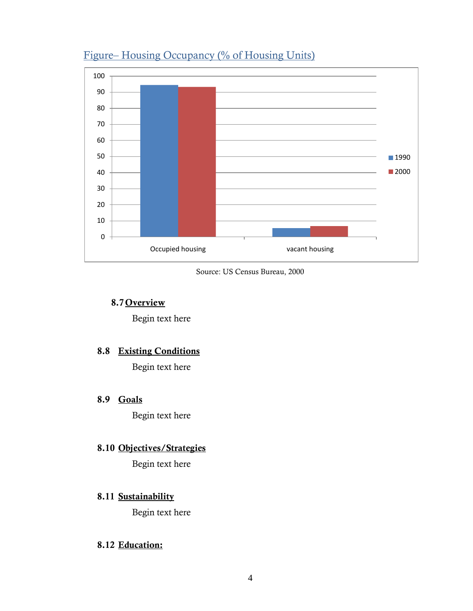

# Figure– Housing Occupancy (% of Housing Units)

Source: US Census Bureau, 2000

#### **8.7 Overview**

Begin text here

#### **8.8 Existing Conditions**

Begin text here

#### **8.9 Goals**

Begin text here

## **8.10 Objectives/Strategies**

Begin text here

#### **8.11 Sustainability**

Begin text here

#### **8.12 Education:**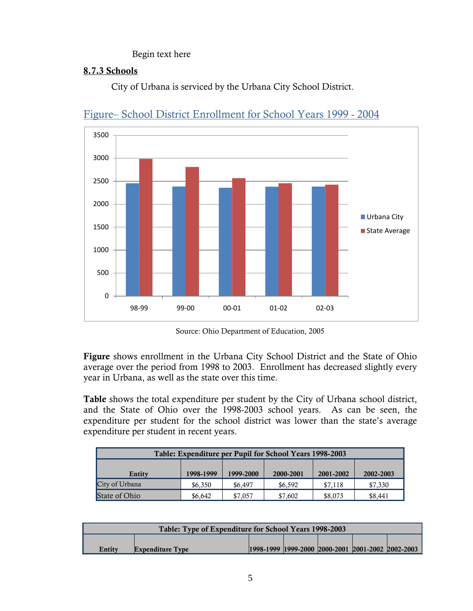#### Begin text here

#### **8.7.3 Schools**

City of Urbana is serviced by the Urbana City School District.



## Figure– School District Enrollment for School Years 1999 - 2004

Source: Ohio Department of Education, 2005

**Figure** shows enrollment in the Urbana City School District and the State of Ohio average over the period from 1998 to 2003. Enrollment has decreased slightly every year in Urbana, as well as the state over this time.

**Table** shows the total expenditure per student by the City of Urbana school district, and the State of Ohio over the 1998-2003 school years. As can be seen, the expenditure per student for the school district was lower than the state's average expenditure per student in recent years.

| Table: Expenditure per Pupil for School Years 1998-2003                 |         |         |         |         |         |  |  |  |  |
|-------------------------------------------------------------------------|---------|---------|---------|---------|---------|--|--|--|--|
| 1998-1999<br>1999-2000<br>2000-2001<br>2001-2002<br>2002-2003<br>Entity |         |         |         |         |         |  |  |  |  |
| City of Urbana                                                          | \$6,350 | \$6,497 | \$6,592 | \$7.118 | \$7,330 |  |  |  |  |
| State of Ohio                                                           | \$6.642 | \$7,057 | \$7,602 | \$8,073 | \$8,441 |  |  |  |  |

| Table: Type of Expenditure for School Years 1998-2003 |                         |  |  |  |                                                       |  |  |  |
|-------------------------------------------------------|-------------------------|--|--|--|-------------------------------------------------------|--|--|--|
|                                                       |                         |  |  |  |                                                       |  |  |  |
| Entity                                                | <b>Expenditure Type</b> |  |  |  | 1998-1999  1999-2000  2000-2001  2001-2002  2002-2003 |  |  |  |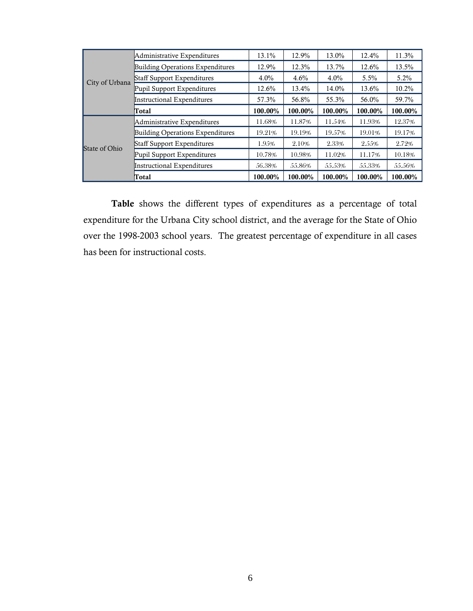|                | Administrative Expenditures             | 13.1%   | 12.9%   | 13.0%   | 12.4%   | 11.3%   |
|----------------|-----------------------------------------|---------|---------|---------|---------|---------|
|                | <b>Building Operations Expenditures</b> | 12.9%   | 12.3%   | 13.7%   | 12.6%   | 13.5%   |
| City of Urbana | <b>Staff Support Expenditures</b>       | 4.0%    | 4.6%    | $4.0\%$ | $5.5\%$ | $5.2\%$ |
|                | Pupil Support Expenditures              | 12.6%   | 13.4%   | 14.0%   | 13.6%   | 10.2%   |
|                | Instructional Expenditures              | 57.3%   | 56.8%   | 55.3%   | 56.0%   | 59.7%   |
|                | <b>Total</b>                            | 100.00% | 100.00% | 100.00% | 100.00% | 100.00% |
|                | Administrative Expenditures             | 11.68%  | 11.87%  | 11.54%  | 11.93%  | 12.37%  |
|                | Building Operations Expenditures        | 19.21%  | 19.19%  | 19.57%  | 19.01%  | 19.17%  |
| State of Ohio  | <b>Staff Support Expenditures</b>       | 1.95%   | 2.10%   | 2.33%   | 2.55%   | 2.72%   |
|                | Pupil Support Expenditures              | 10.78%  | 10.98%  | 11.02%  | 11.17%  | 10.18%  |
|                | <b>Instructional Expenditures</b>       | 56.38%  | 55.86%  | 55.53%  | 55.33%  | 55.56%  |
|                | Total                                   | 100.00% | 100.00% | 100.00% | 100.00% | 100.00% |

**Table** shows the different types of expenditures as a percentage of total expenditure for the Urbana City school district, and the average for the State of Ohio over the 1998-2003 school years. The greatest percentage of expenditure in all cases has been for instructional costs.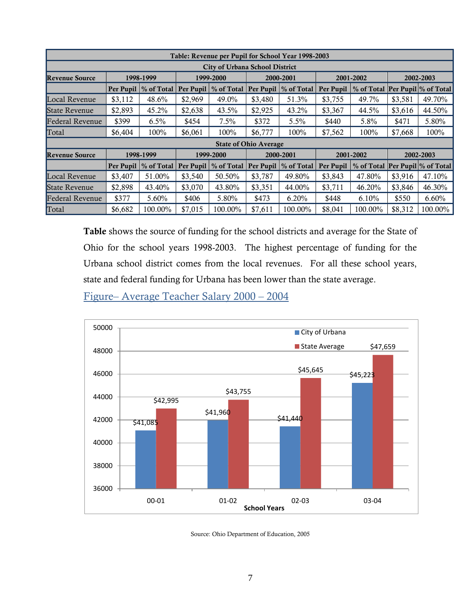| Table: Revenue per Pupil for School Year 1998-2003 |           |                                    |         |            |                              |                        |           |                                 |           |         |  |
|----------------------------------------------------|-----------|------------------------------------|---------|------------|------------------------------|------------------------|-----------|---------------------------------|-----------|---------|--|
| <b>City of Urbana School District</b>              |           |                                    |         |            |                              |                        |           |                                 |           |         |  |
| <b>Revenue Source</b>                              | 1998-1999 |                                    |         | 1999-2000  |                              | 2000-2001              | 2001-2002 |                                 | 2002-2003 |         |  |
|                                                    |           | Per Pupil   % of Total   Per Pupil |         | % of Total |                              | Per Pupil   % of Total | Per Pupil | % of Total Per Pupil % of Total |           |         |  |
| Local Revenue                                      | \$3,112   | 48.6%                              | \$2,969 | 49.0%      | \$3,480                      | 51.3%                  | \$3,755   | 49.7%                           | \$3,581   | 49.70%  |  |
| State Revenue                                      | \$2,893   | 45.2%                              | \$2,638 | 43.5%      | \$2,925                      | 43.2%                  | \$3,367   | 44.5%                           | \$3,616   | 44.50%  |  |
| Federal Revenue                                    | \$399     | $6.5\%$                            | \$454   | $7.5\%$    | \$372                        | 5.5%                   | \$440     | 5.8%                            | \$471     | 5.80%   |  |
| Total                                              | \$6,404   | 100%                               | \$6,061 | 100%       | \$6,777                      | 100%                   | \$7,562   | 100%                            | \$7,668   | 100%    |  |
|                                                    |           |                                    |         |            | <b>State of Ohio Average</b> |                        |           |                                 |           |         |  |
| <b>Revenue Source</b>                              |           | 1998-1999                          |         | 1999-2000  |                              | 2000-2001              |           | 2001-2002                       | 2002-2003 |         |  |
|                                                    |           | Per Pupil   % of Total   Per Pupil |         | % of Total |                              | Per Pupil   % of Total | Per Pupil | % of Total Per Pupil % of Total |           |         |  |
| Local Revenue                                      | \$3,407   | 51.00%                             | \$3,540 | 50.50%     | \$3,787                      | 49.80%                 | \$3,843   | 47.80%                          | \$3,916   | 47.10%  |  |
| <b>State Revenue</b>                               | \$2,898   | 43.40%                             | \$3,070 | 43.80%     | \$3,351                      | 44.00%                 | \$3,711   | 46.20%                          | \$3,846   | 46.30%  |  |
| <b>Federal Revenue</b>                             | \$377     | 5.60%                              | \$406   | 5.80%      | \$473                        | 6.20%                  | \$448     | 6.10%                           | \$550     | 6.60%   |  |
| Total                                              | \$6,682   | 100.00%                            | \$7,015 | 100.00%    | \$7,611                      | 100.00%                | \$8,041   | 100.00%                         | \$8,312   | 100.00% |  |

**Table** shows the source of funding for the school districts and average for the State of Ohio for the school years 1998-2003. The highest percentage of funding for the Urbana school district comes from the local revenues. For all these school years, state and federal funding for Urbana has been lower than the state average.

Figure– Average Teacher Salary 2000 – 2004



Source: Ohio Department of Education, 2005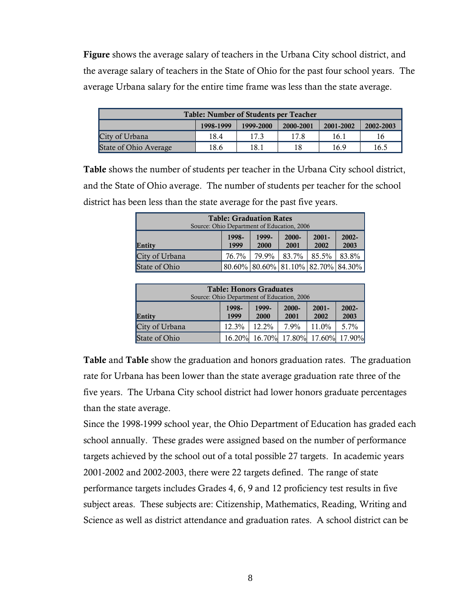**Figure** shows the average salary of teachers in the Urbana City school district, and the average salary of teachers in the State of Ohio for the past four school years. The average Urbana salary for the entire time frame was less than the state average.

| <b>Table: Number of Students per Teacher</b> |           |           |           |           |           |
|----------------------------------------------|-----------|-----------|-----------|-----------|-----------|
|                                              | 1998-1999 | 1999-2000 | 2000-2001 | 2001-2002 | 2002-2003 |
| City of Urbana                               | 18.4      | 173       | 17.8      | 16.1      | 16        |
| State of Ohio Average                        | 18.6      | 18.1      | 18        | 16.9      | 16.5      |

**Table** shows the number of students per teacher in the Urbana City school district, and the State of Ohio average. The number of students per teacher for the school district has been less than the state average for the past five years.

| <b>Table: Graduation Rates</b><br>Source: Ohio Department of Education, 2006 |               |               |                                    |                  |                  |
|------------------------------------------------------------------------------|---------------|---------------|------------------------------------|------------------|------------------|
| Entity                                                                       | 1998-<br>1999 | 1999-<br>2000 | $2000 -$<br>2001                   | $2001 -$<br>2002 | $2002 -$<br>2003 |
| City of Urbana                                                               | 76.7%         | 79.9%         | 83.7%                              | 85.5%            | 83.8%            |
| State of Ohio                                                                |               |               | 80.60% 80.60% 81.10% 82.70% 84.30% |                  |                  |

| <b>Table: Honors Graduates</b><br>Source: Ohio Department of Education, 2006 |               |               |               |                             |                  |
|------------------------------------------------------------------------------|---------------|---------------|---------------|-----------------------------|------------------|
| Entity                                                                       | 1998-<br>1999 | 1999-<br>2000 | 2000-<br>2001 | $2001 -$<br>2002            | $2002 -$<br>2003 |
| City of Urbana                                                               | 12.3%         | $12.2\%$      | $7.9\%$       | 11.0%                       | $5.7\%$          |
| State of Ohio                                                                | 16.20%        |               |               | 16.70% 17.80% 17.60% 17.90% |                  |

**Table** and **Table** show the graduation and honors graduation rates. The graduation rate for Urbana has been lower than the state average graduation rate three of the five years. The Urbana City school district had lower honors graduate percentages than the state average.

Since the 1998-1999 school year, the Ohio Department of Education has graded each school annually. These grades were assigned based on the number of performance targets achieved by the school out of a total possible 27 targets. In academic years 2001-2002 and 2002-2003, there were 22 targets defined. The range of state performance targets includes Grades 4, 6, 9 and 12 proficiency test results in five subject areas. These subjects are: Citizenship, Mathematics, Reading, Writing and Science as well as district attendance and graduation rates. A school district can be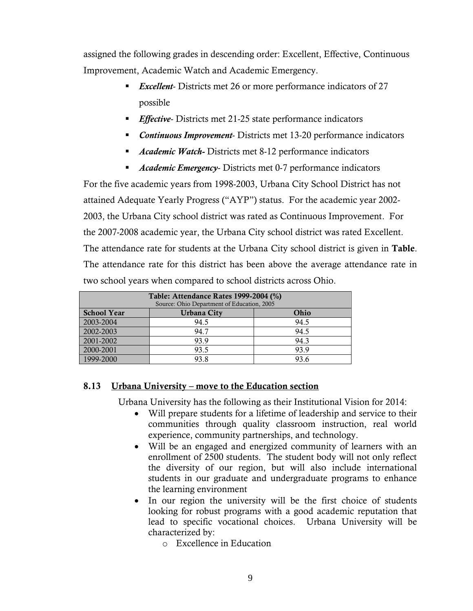assigned the following grades in descending order: Excellent, Effective, Continuous Improvement, Academic Watch and Academic Emergency.

- *Excellent* Districts met 26 or more performance indicators of 27 possible
- **Effective-** Districts met 21-25 state performance indicators
- *Continuous Improvement* Districts met 13-20 performance indicators
- *Academic Watch-* Districts met 8-12 performance indicators
- *Academic Emergency* Districts met 0-7 performance indicators

For the five academic years from 1998-2003, Urbana City School District has not attained Adequate Yearly Progress ("AYP") status. For the academic year 2002-2003, the Urbana City school district was rated as Continuous Improvement. For the 2007-2008 academic year, the Urbana City school district was rated Excellent. The attendance rate for students at the Urbana City school district is given in **Table**. The attendance rate for this district has been above the average attendance rate in two school years when compared to school districts across Ohio.

| Table: Attendance Rates 1999-2004 (%)<br>Source: Ohio Department of Education, 2005 |                    |      |  |  |
|-------------------------------------------------------------------------------------|--------------------|------|--|--|
| <b>School Year</b>                                                                  | <b>Urbana City</b> | Ohio |  |  |
| 2003-2004                                                                           | 94.5               | 94.5 |  |  |
| 2002-2003                                                                           | 94.7               | 94.5 |  |  |
| 2001-2002                                                                           | 93.9               | 94.3 |  |  |
| 2000-2001                                                                           | 93.5               | 93.9 |  |  |
| 1999-2000                                                                           | 93.8               | 93.6 |  |  |

#### **8.13 Urbana University – move to the Education section**

Urbana University has the following as their Institutional Vision for 2014:

- Will prepare students for a lifetime of leadership and service to their communities through quality classroom instruction, real world experience, community partnerships, and technology.
- Will be an engaged and energized community of learners with an enrollment of 2500 students. The student body will not only reflect the diversity of our region, but will also include international students in our graduate and undergraduate programs to enhance the learning environment
- In our region the university will be the first choice of students looking for robust programs with a good academic reputation that lead to specific vocational choices. Urbana University will be characterized by:
	- o Excellence in Education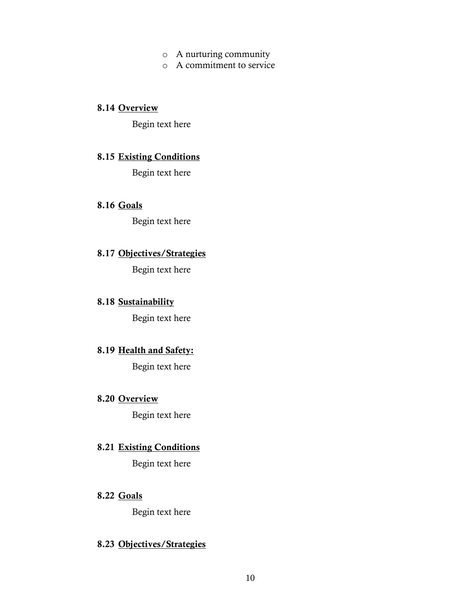- o A nurturing community
- o A commitment to service

#### **8.14 Overview**

Begin text here

#### **8.15 Existing Conditions**

Begin text here

#### **8.16 Goals**

Begin text here

# **8.17 Objectives/Strategies**

Begin text here

#### **8.18 Sustainability**

Begin text here

## **8.19 Health and Safety:**

Begin text here

#### **8.20 Overview**

Begin text here

### **8.21 Existing Conditions**

Begin text here

#### **8.22 Goals**

Begin text here

#### **8.23 Objectives/Strategies**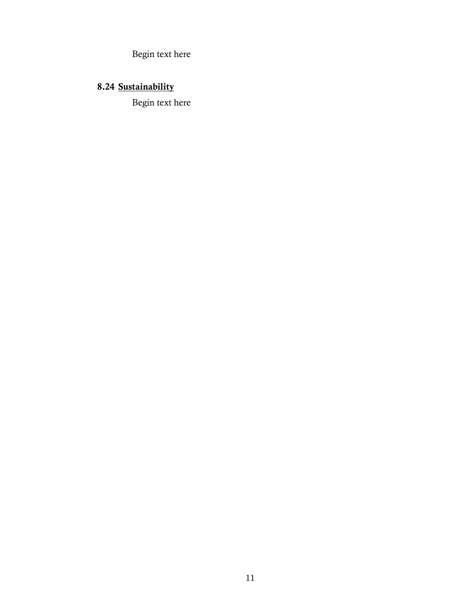Begin text here

# **8.24 Sustainability**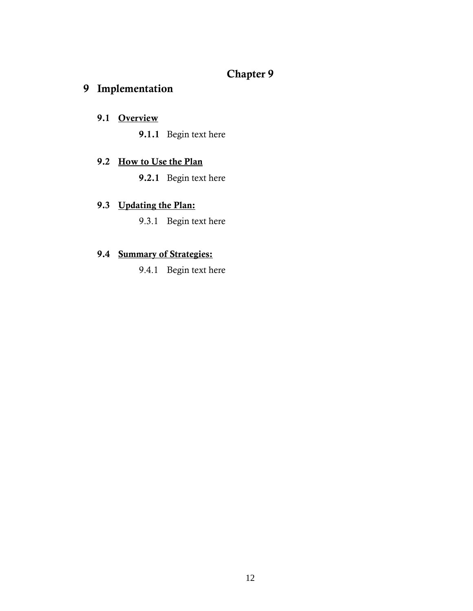# **Chapter 9**

# **9 Implementation**

## **9.1 Overview**

**9.1.1** Begin text here

#### **9.2 How to Use the Plan**

**9.2.1** Begin text here

## **9.3 Updating the Plan:**

9.3.1 Begin text here

#### **9.4 Summary of Strategies:**

9.4.1 Begin text here